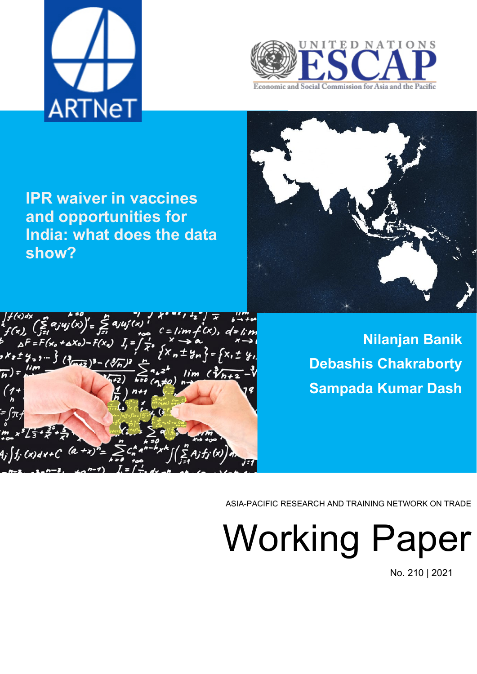



**IPR waiver in vaccines and opportunities for India: what does the data show?**





**Nilanjan Banik Debashis Chakraborty Sampada Kumar Dash**

ASIA-PACIFIC RESEARCH AND TRAINING NETWORK ON TRADE

Working Paper

No. 210 | 2021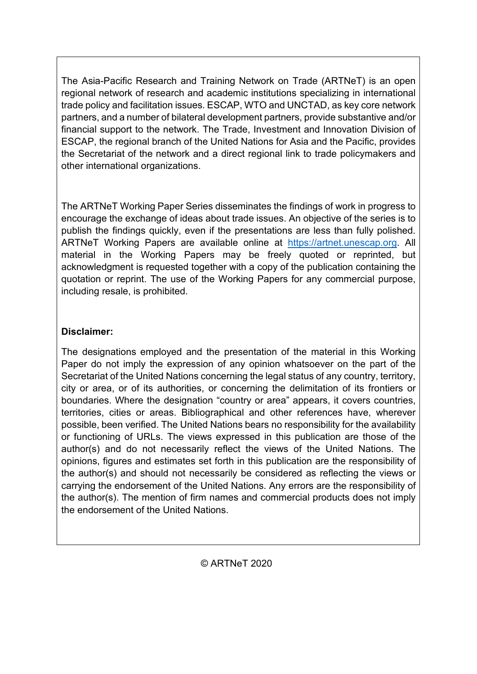The Asia-Pacific Research and Training Network on Trade (ARTNeT) is an open regional network of research and academic institutions specializing in international trade policy and facilitation issues. ESCAP, WTO and UNCTAD, as key core network partners, and a number of bilateral development partners, provide substantive and/or financial support to the network. The Trade, Investment and Innovation Division of ESCAP, the regional branch of the United Nations for Asia and the Pacific, provides the Secretariat of the network and a direct regional link to trade policymakers and other international organizations.

The ARTNeT Working Paper Series disseminates the findings of work in progress to encourage the exchange of ideas about trade issues. An objective of the series is to publish the findings quickly, even if the presentations are less than fully polished. ARTNeT Working Papers are available online at [https://artnet.unescap.org.](https://artnet.unescap.org/) All material in the Working Papers may be freely quoted or reprinted, but acknowledgment is requested together with a copy of the publication containing the quotation or reprint. The use of the Working Papers for any commercial purpose, including resale, is prohibited.

## **Disclaimer:**

The designations employed and the presentation of the material in this Working Paper do not imply the expression of any opinion whatsoever on the part of the Secretariat of the United Nations concerning the legal status of any country, territory, city or area, or of its authorities, or concerning the delimitation of its frontiers or boundaries. Where the designation "country or area" appears, it covers countries, territories, cities or areas. Bibliographical and other references have, wherever possible, been verified. The United Nations bears no responsibility for the availability or functioning of URLs. The views expressed in this publication are those of the author(s) and do not necessarily reflect the views of the United Nations. The opinions, figures and estimates set forth in this publication are the responsibility of the author(s) and should not necessarily be considered as reflecting the views or carrying the endorsement of the United Nations. Any errors are the responsibility of the author(s). The mention of firm names and commercial products does not imply the endorsement of the United Nations.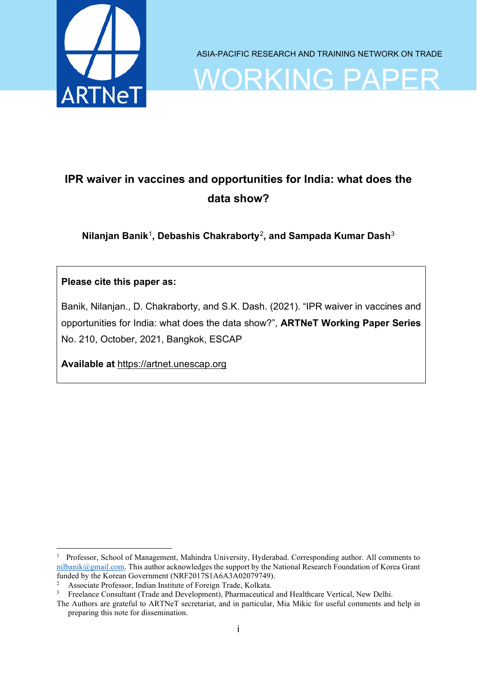

ASIA-PACIFIC RESEARCH AND TRAINING NETWORK ON TRADE

ORKING PA

# **IPR waiver in vaccines and opportunities for India: what does the data show?**

**Nilanjan Banik**[1](#page-2-0)**, Debashis Chakraborty**[2](#page-2-1)**, and Sampada Kumar Dash**[3](#page-2-2)

### **Please cite this paper as:**

Banik, Nilanjan., D. Chakraborty, and S.K. Dash. (2021). "IPR waiver in vaccines and opportunities for India: what does the data show?", **ARTNeT Working Paper Series** No. 210, October, 2021, Bangkok, ESCAP

**Available at** [https://artnet.unescap.org](https://artnet.unescap.org/)

<span id="page-2-0"></span><sup>&</sup>lt;sup>1</sup> Professor, School of Management, Mahindra University, Hyderabad. Corresponding author. All comments to [nilbanik@gmail.com.](mailto:nilbanik@gmail.com) This author acknowledges the support by the National Research Foundation of Korea Grant funded by the Korean Government (NRF2017S1A6A3A02079749).

<span id="page-2-1"></span><sup>&</sup>lt;sup>2</sup> Associate Professor, Indian Institute of Foreign Trade, Kolkata.<br> $\frac{3}{2}$  Excelence Consultant (Trade and Davelopment). Pharmacoutical

<sup>3</sup> Freelance Consultant (Trade and Development), Pharmaceutical and Healthcare Vertical, New Delhi.

<span id="page-2-2"></span>The Authors are grateful to ARTNeT secretariat, and in particular, Mia Mikic for useful comments and help in preparing this note for dissemination.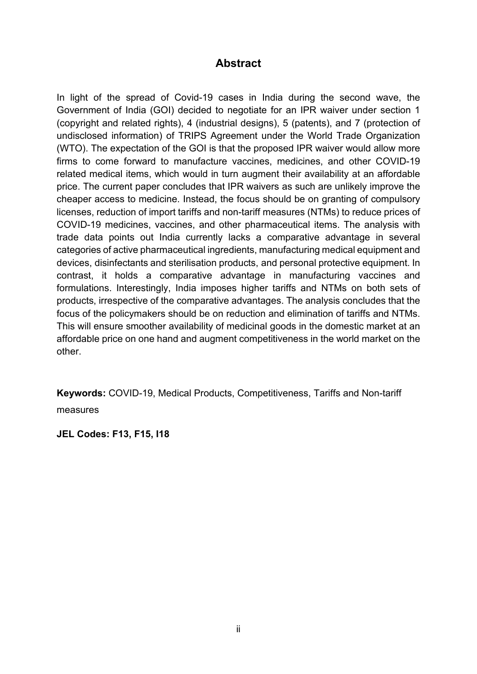## **Abstract**

<span id="page-3-0"></span>In light of the spread of Covid-19 cases in India during the second wave, the Government of India (GOI) decided to negotiate for an IPR waiver under section 1 (copyright and related rights), 4 (industrial designs), 5 (patents), and 7 (protection of undisclosed information) of TRIPS Agreement under the World Trade Organization (WTO). The expectation of the GOI is that the proposed IPR waiver would allow more firms to come forward to manufacture vaccines, medicines, and other COVID-19 related medical items, which would in turn augment their availability at an affordable price. The current paper concludes that IPR waivers as such are unlikely improve the cheaper access to medicine. Instead, the focus should be on granting of compulsory licenses, reduction of import tariffs and non-tariff measures (NTMs) to reduce prices of COVID-19 medicines, vaccines, and other pharmaceutical items. The analysis with trade data points out India currently lacks a comparative advantage in several categories of active pharmaceutical ingredients, manufacturing medical equipment and devices, disinfectants and sterilisation products, and personal protective equipment. In contrast, it holds a comparative advantage in manufacturing vaccines and formulations. Interestingly, India imposes higher tariffs and NTMs on both sets of products, irrespective of the comparative advantages. The analysis concludes that the focus of the policymakers should be on reduction and elimination of tariffs and NTMs. This will ensure smoother availability of medicinal goods in the domestic market at an affordable price on one hand and augment competitiveness in the world market on the other.

**Keywords:** COVID-19, Medical Products, Competitiveness, Tariffs and Non-tariff measures

**JEL Codes: F13, F15, I18**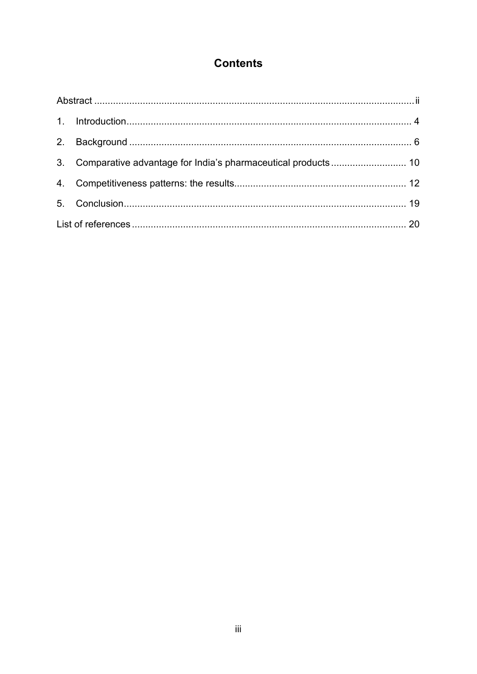## **Contents**

| 3. Comparative advantage for India's pharmaceutical products 10 |  |
|-----------------------------------------------------------------|--|
|                                                                 |  |
|                                                                 |  |
|                                                                 |  |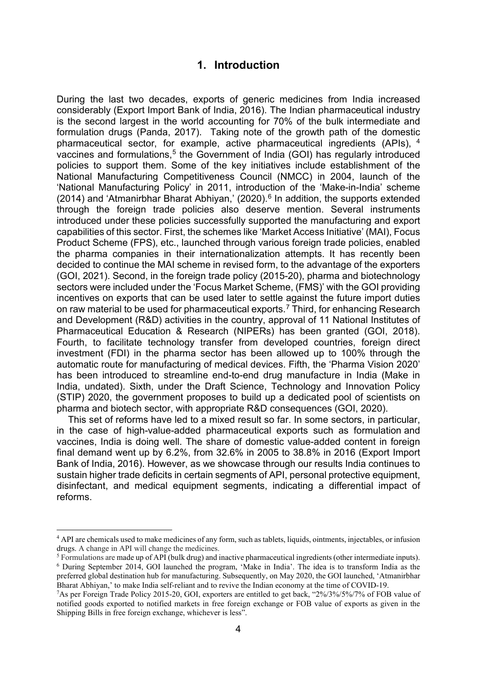### **1. Introduction**

<span id="page-5-0"></span>During the last two decades, exports of generic medicines from India increased considerably (Export Import Bank of India, 2016). The Indian pharmaceutical industry is the second largest in the world accounting for 70% of the bulk intermediate and formulation drugs (Panda, 2017). Taking note of the growth path of the domestic pharmaceutical sector, for example, active pharmaceutical ingredients (APIs), [4](#page-5-1) vaccines and formulations.<sup>[5](#page-5-2)</sup> the Government of India (GOI) has regularly introduced policies to support them. Some of the key initiatives include establishment of the National Manufacturing Competitiveness Council (NMCC) in 2004, launch of the 'National Manufacturing Policy' in 2011, introduction of the 'Make-in-India' scheme  $(2014)$  and 'Atmanirbhar Bharat Abhiyan,'  $(2020)$ .<sup>[6](#page-5-3)</sup> In addition, the supports extended through the foreign trade policies also deserve mention. Several instruments introduced under these policies successfully supported the manufacturing and export capabilities of this sector. First, the schemes like 'Market Access Initiative' (MAI), Focus Product Scheme (FPS), etc., launched through various foreign trade policies, enabled the pharma companies in their internationalization attempts. It has recently been decided to continue the MAI scheme in revised form, to the advantage of the exporters (GOI, 2021). Second, in the foreign trade policy (2015-20), pharma and biotechnology sectors were included under the 'Focus Market Scheme, (FMS)' with the GOI providing incentives on exports that can be used later to settle against the future import duties on raw material to be used for pharmaceutical exports. [7](#page-5-4) Third, for enhancing Research and Development (R&D) activities in the country, approval of 11 National Institutes of Pharmaceutical Education & Research (NIPERs) has been granted (GOI, 2018). Fourth, to facilitate technology transfer from developed countries, foreign direct investment (FDI) in the pharma sector has been allowed up to 100% through the automatic route for manufacturing of medical devices. Fifth, the 'Pharma Vision 2020' has been introduced to streamline end-to-end drug manufacture in India (Make in India, undated). Sixth, under the Draft Science, Technology and Innovation Policy (STIP) 2020, the government proposes to build up a dedicated pool of scientists on pharma and biotech sector, with appropriate R&D consequences (GOI, 2020).

This set of reforms have led to a mixed result so far. In some sectors, in particular, in the case of high-value-added pharmaceutical exports such as formulation and vaccines, India is doing well. The share of domestic value-added content in foreign final demand went up by 6.2%, from 32.6% in 2005 to 38.8% in 2016 (Export Import Bank of India, 2016). However, as we showcase through our results India continues to sustain higher trade deficits in certain segments of API, personal protective equipment, disinfectant, and medical equipment segments, indicating a differential impact of reforms.

<span id="page-5-1"></span><sup>&</sup>lt;sup>4</sup> API are chemicals used to make medicines of any form, such as tablets, liquids, ointments, injectables, or infusion drugs. A change in API will change the medicines.

<span id="page-5-3"></span><span id="page-5-2"></span><sup>5</sup> Formulations are made up of API (bulk drug) and inactive pharmaceutical ingredients (other intermediate inputs). <sup>6</sup> During September 2014, GOI launched the program, 'Make in India'. The idea is to transform India as the preferred global destination hub for manufacturing. Subsequently, on May 2020, the GOI launched, 'Atmanirbhar Bharat Abhiyan,' to make India self-reliant and to revive the Indian economy at the time of COVID-19.

<span id="page-5-4"></span><sup>7</sup> As per Foreign Trade Policy 2015-20, GOI, exporters are entitled to get back, "2%/3%/5%/7% of FOB value of notified goods exported to notified markets in free foreign exchange or FOB value of exports as given in the Shipping Bills in free foreign exchange, whichever is less".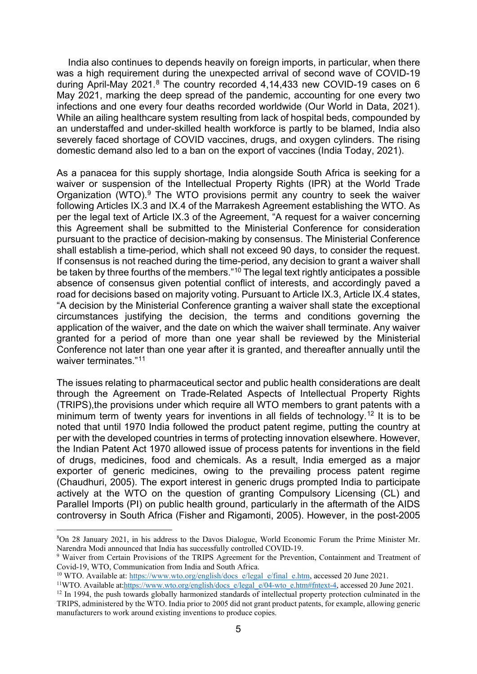India also continues to depends heavily on foreign imports, in particular, when there was a high requirement during the unexpected arrival of second wave of COVID-19 during April-May 2021.<sup>[8](#page-6-0)</sup> The country recorded 4,14,433 new COVID-19 cases on 6 May 2021, marking the deep spread of the pandemic, accounting for one every two infections and one every four deaths recorded worldwide (Our World in Data, 2021). While an ailing healthcare system resulting from lack of hospital beds, compounded by an understaffed and under-skilled health workforce is partly to be blamed, India also severely faced shortage of COVID vaccines, drugs, and oxygen cylinders. The rising domestic demand also led to a ban on the export of vaccines (India Today, 2021).

As a panacea for this supply shortage, India alongside South Africa is seeking for a waiver or suspension of the Intellectual Property Rights (IPR) at the World Trade Organization (WTO). $9$  The WTO provisions permit any country to seek the waiver following Articles IX.3 and IX.4 of the Marrakesh Agreement establishing the WTO. As per the legal text of Article IX.3 of the Agreement, "A request for a waiver concerning this Agreement shall be submitted to the Ministerial Conference for consideration pursuant to the practice of decision-making by consensus. The Ministerial Conference shall establish a time-period, which shall not exceed 90 days, to consider the request. If consensus is not reached during the time-period, any decision to grant a waiver shall be taken by three fourths of the members.["10](#page-6-2) The legal text rightly anticipates a possible absence of consensus given potential conflict of interests, and accordingly paved a road for decisions based on majority voting. Pursuant to Article IX.3, Article IX.4 states, "A decision by the Ministerial Conference granting a waiver shall state the exceptional circumstances justifying the decision, the terms and conditions governing the application of the waiver, and the date on which the waiver shall terminate. Any waiver granted for a period of more than one year shall be reviewed by the Ministerial Conference not later than one year after it is granted, and thereafter annually until the waiver terminates."<sup>[11](#page-6-3)</sup>

The issues relating to pharmaceutical sector and public health considerations are dealt through the Agreement on Trade-Related Aspects of Intellectual Property Rights (TRIPS),the provisions under which require all WTO members to grant patents with a minimum term of twenty years for inventions in all fields of technology.<sup>[12](#page-6-4)</sup> It is to be noted that until 1970 India followed the product patent regime, putting the country at per with the developed countries in terms of protecting innovation elsewhere. However, the Indian Patent Act 1970 allowed issue of process patents for inventions in the field of drugs, medicines, food and chemicals. As a result, India emerged as a major exporter of generic medicines, owing to the prevailing process patent regime (Chaudhuri, 2005). The export interest in generic drugs prompted India to participate actively at the WTO on the question of granting Compulsory Licensing (CL) and Parallel Imports (PI) on public health ground, particularly in the aftermath of the AIDS controversy in South Africa (Fisher and Rigamonti, 2005). However, in the post-2005

<span id="page-6-0"></span><sup>8</sup> On 28 January 2021, in his address to the Davos Dialogue, World Economic Forum the Prime Minister Mr. Narendra Modi announced that India has successfully controlled COVID-19.

<span id="page-6-1"></span><sup>&</sup>lt;sup>9</sup> Waiver from Certain Provisions of the TRIPS Agreement for the Prevention, Containment and Treatment of Covid-19, WTO, Communication from India and South Africa.

<span id="page-6-2"></span><sup>&</sup>lt;sup>10</sup> WTO. Available at: [https://www.wto.org/english/docs\\_e/legal\\_e/final\\_e.htm,](https://www.wto.org/english/docs_e/legal_e/final_e.htm) accessed 20 June 2021.

<sup>&</sup>lt;sup>11</sup>WTO. Available at[:https://www.wto.org/english/docs\\_e/legal\\_e/04-wto\\_e.htm#fntext-4,](https://www.wto.org/english/docs_e/legal_e/04-wto_e.htm#fntext-4) accessed 20 June 2021.

<span id="page-6-4"></span><span id="page-6-3"></span><sup>&</sup>lt;sup>12</sup> In 1994, the push towards globally harmonized standards of intellectual property protection culminated in the TRIPS, administered by the WTO. India prior to 2005 did not grant product patents, for example, allowing generic manufacturers to work around existing inventions to produce copies.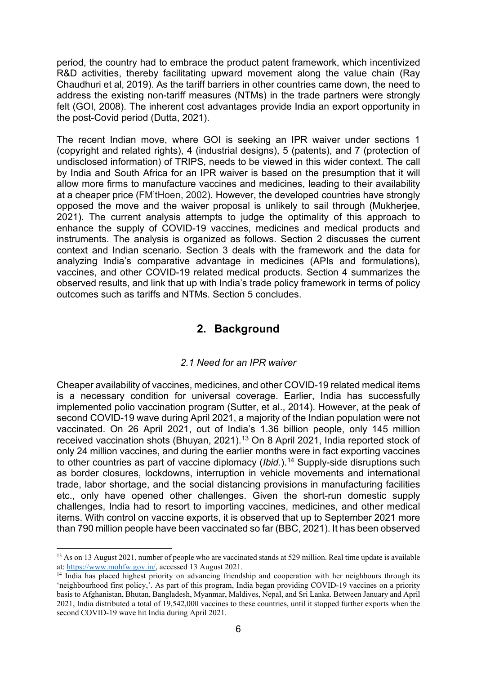period, the country had to embrace the product patent framework, which incentivized R&D activities, thereby facilitating upward movement along the value chain (Ray Chaudhuri et al, 2019). As the tariff barriers in other countries came down, the need to address the existing non-tariff measures (NTMs) in the trade partners were strongly felt (GOI, 2008). The inherent cost advantages provide India an export opportunity in the post-Covid period (Dutta, 2021).

The recent Indian move, where GOI is seeking an IPR waiver under sections 1 (copyright and related rights), 4 (industrial designs), 5 (patents), and 7 (protection of undisclosed information) of TRIPS, needs to be viewed in this wider context. The call by India and South Africa for an IPR waiver is based on the presumption that it will allow more firms to manufacture vaccines and medicines, leading to their availability at a cheaper price (FM'tHoen, 2002). However, the developed countries have strongly opposed the move and the waiver proposal is unlikely to sail through (Mukherjee, 2021). The current analysis attempts to judge the optimality of this approach to enhance the supply of COVID-19 vaccines, medicines and medical products and instruments. The analysis is organized as follows. Section 2 discusses the current context and Indian scenario. Section 3 deals with the framework and the data for analyzing India's comparative advantage in medicines (APIs and formulations), vaccines, and other COVID-19 related medical products. Section 4 summarizes the observed results, and link that up with India's trade policy framework in terms of policy outcomes such as tariffs and NTMs. Section 5 concludes.

## **2. Background**

### *2.1 Need for an IPR waiver*

<span id="page-7-0"></span>Cheaper availability of vaccines, medicines, and other COVID-19 related medical items is a necessary condition for universal coverage. Earlier, India has successfully implemented polio vaccination program (Sutter, et al., 2014). However, at the peak of second COVID-19 wave during April 2021, a majority of the Indian population were not vaccinated. On 26 April 2021, out of India's 1.36 billion people, only 145 million received vaccination shots (Bhuyan, 2021).[13](#page-7-1) On 8 April 2021, India reported stock of only 24 million vaccines, and during the earlier months were in fact exporting vaccines to other countries as part of vaccine diplomacy (*Ibid.*).<sup>[14](#page-7-2)</sup> Supply-side disruptions such as border closures, lockdowns, interruption in vehicle movements and international trade, labor shortage, and the social distancing provisions in manufacturing facilities etc., only have opened other challenges. Given the short-run domestic supply challenges, India had to resort to importing vaccines, medicines, and other medical items. With control on vaccine exports, it is observed that up to September 2021 more than 790 million people have been vaccinated so far (BBC, 2021). It has been observed

<span id="page-7-1"></span><sup>&</sup>lt;sup>13</sup> As on 13 August 2021, number of people who are vaccinated stands at 529 million. Real time update is available at: [https://www.mohfw.gov.in/,](https://www.mohfw.gov.in/) accessed 13 August 2021.

<span id="page-7-2"></span><sup>&</sup>lt;sup>14</sup> India has placed highest priority on advancing friendship and cooperation with her neighbours through its 'neighbourhood first policy,'. As part of this program, India began providing COVID-19 vaccines on a priority basis to Afghanistan, Bhutan, Bangladesh, Myanmar, Maldives, Nepal, and Sri Lanka. Between January and April 2021, India distributed a total of 19,542,000 vaccines to these countries, until it stopped further exports when the second COVID-19 wave hit India during April 2021.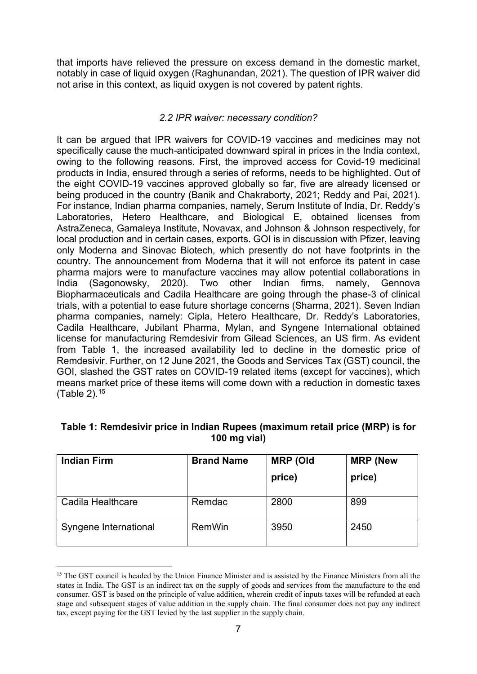that imports have relieved the pressure on excess demand in the domestic market, notably in case of liquid oxygen (Raghunandan, 2021). The question of IPR waiver did not arise in this context, as liquid oxygen is not covered by patent rights.

### *2.2 IPR waiver: necessary condition?*

It can be argued that IPR waivers for COVID-19 vaccines and medicines may not specifically cause the much-anticipated downward spiral in prices in the India context, owing to the following reasons. First, the improved access for Covid-19 medicinal products in India, ensured through a series of reforms, needs to be highlighted. Out of the eight COVID-19 vaccines approved globally so far, five are already licensed or being produced in the country (Banik and Chakraborty, 2021; Reddy and Pai, 2021). For instance, Indian pharma companies, namely, Serum Institute of India, Dr. Reddy's Laboratories, Hetero Healthcare, and Biological E, obtained licenses from AstraZeneca, Gamaleya Institute, Novavax, and Johnson & Johnson respectively, for local production and in certain cases, exports. GOI is in discussion with Pfizer, leaving only Moderna and Sinovac Biotech, which presently do not have footprints in the country. The announcement from Moderna that it will not enforce its patent in case pharma majors were to manufacture vaccines may allow potential collaborations in India (Sagonowsky, 2020). Two other Indian firms, namely, Gennova Biopharmaceuticals and Cadila Healthcare are going through the phase-3 of clinical trials, with a potential to ease future shortage concerns (Sharma, 2021). Seven Indian pharma companies, namely: Cipla, Hetero Healthcare, Dr. Reddy's Laboratories, Cadila Healthcare, Jubilant Pharma, Mylan, and Syngene International obtained license for manufacturing Remdesivir from Gilead Sciences, an US firm. As evident from Table 1, the increased availability led to decline in the domestic price of Remdesivir. Further, on 12 June 2021, the Goods and Services Tax (GST) council, the GOI, slashed the GST rates on COVID-19 related items (except for vaccines), which means market price of these items will come down with a reduction in domestic taxes (Table 2).[15](#page-8-0)

| <b>Indian Firm</b>    | <b>Brand Name</b> | <b>MRP (Old</b><br>price) | <b>MRP (New</b><br>price) |
|-----------------------|-------------------|---------------------------|---------------------------|
| Cadila Healthcare     | Remdac            | 2800                      | 899                       |
| Syngene International | RemWin            | 3950                      | 2450                      |

### **Table 1: Remdesivir price in Indian Rupees (maximum retail price (MRP) is for 100 mg vial)**

<span id="page-8-0"></span><sup>&</sup>lt;sup>15</sup> The GST council is headed by the Union Finance Minister and is assisted by the Finance Ministers from all the states in India. The GST is an indirect tax on the supply of goods and services from the manufacture to the end consumer. GST is based on the principle of value addition, wherein credit of inputs taxes will be refunded at each stage and subsequent stages of value addition in the supply chain. The final consumer does not pay any indirect tax, except paying for the GST levied by the last supplier in the supply chain.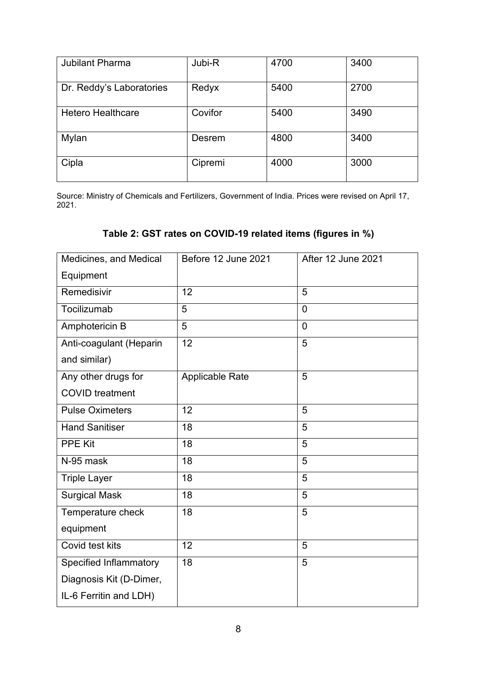| <b>Jubilant Pharma</b>   | Jubi-R  | 4700 | 3400 |
|--------------------------|---------|------|------|
| Dr. Reddy's Laboratories | Redyx   | 5400 | 2700 |
| <b>Hetero Healthcare</b> | Covifor | 5400 | 3490 |
| Mylan                    | Desrem  | 4800 | 3400 |
| Cipla                    | Cipremi | 4000 | 3000 |

Source: Ministry of Chemicals and Fertilizers, Government of India. Prices were revised on April 17, 2021.

## **Table 2: GST rates on COVID-19 related items (figures in %)**

| Medicines, and Medical        | Before 12 June 2021    | <b>After 12 June 2021</b> |  |  |
|-------------------------------|------------------------|---------------------------|--|--|
| Equipment                     |                        |                           |  |  |
| Remedisivir                   | 12                     | 5                         |  |  |
| Tocilizumab                   | 5                      | $\overline{0}$            |  |  |
| Amphotericin B                | 5                      | 0                         |  |  |
| Anti-coagulant (Heparin       | 12                     | 5                         |  |  |
| and similar)                  |                        |                           |  |  |
| Any other drugs for           | <b>Applicable Rate</b> | 5                         |  |  |
| <b>COVID</b> treatment        |                        |                           |  |  |
| <b>Pulse Oximeters</b>        | 12                     | 5                         |  |  |
| <b>Hand Sanitiser</b>         | 18                     | 5                         |  |  |
| <b>PPE Kit</b>                | 18                     | 5                         |  |  |
| N-95 mask                     | 18                     | 5                         |  |  |
| <b>Triple Layer</b>           | 18                     | 5                         |  |  |
| <b>Surgical Mask</b>          | 18                     | 5                         |  |  |
| Temperature check             | 18                     | 5                         |  |  |
| equipment                     |                        |                           |  |  |
| Covid test kits               | 12                     | 5                         |  |  |
| <b>Specified Inflammatory</b> | 18                     | 5                         |  |  |
| Diagnosis Kit (D-Dimer,       |                        |                           |  |  |
| IL-6 Ferritin and LDH)        |                        |                           |  |  |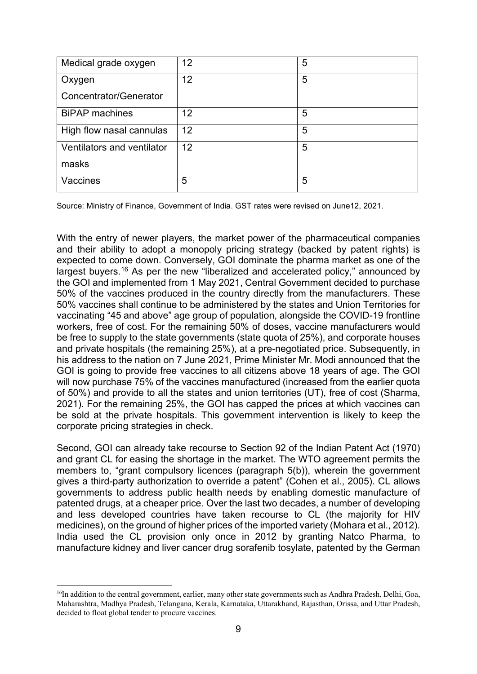| Medical grade oxygen          | 12 | 5 |
|-------------------------------|----|---|
| Oxygen                        | 12 | 5 |
| <b>Concentrator/Generator</b> |    |   |
| <b>BiPAP</b> machines         | 12 | 5 |
| High flow nasal cannulas      | 12 | 5 |
| Ventilators and ventilator    | 12 | 5 |
| masks                         |    |   |
| Vaccines                      | 5  | 5 |

Source: Ministry of Finance, Government of India. GST rates were revised on June12, 2021.

With the entry of newer players, the market power of the pharmaceutical companies and their ability to adopt a monopoly pricing strategy (backed by patent rights) is expected to come down. Conversely, GOI dominate the pharma market as one of the largest buyers.[16](#page-10-0) As per the new "liberalized and accelerated policy," announced by the GOI and implemented from 1 May 2021, Central Government decided to purchase 50% of the vaccines produced in the country directly from the manufacturers. These 50% vaccines shall continue to be administered by the states and Union Territories for vaccinating "45 and above" age group of population, alongside the COVID-19 frontline workers, free of cost. For the remaining 50% of doses, vaccine manufacturers would be free to supply to the state governments (state quota of 25%), and corporate houses and private hospitals (the remaining 25%), at a pre-negotiated price. Subsequently, in his address to the nation on 7 June 2021, Prime Minister Mr. Modi announced that the GOI is going to provide free vaccines to all citizens above 18 years of age. The GOI will now purchase 75% of the vaccines manufactured (increased from the earlier quota of 50%) and provide to all the states and union territories (UT), free of cost (Sharma, 2021). For the remaining 25%, the GOI has capped the prices at which vaccines can be sold at the private hospitals. This government intervention is likely to keep the corporate pricing strategies in check.

Second, GOI can already take recourse to Section 92 of the Indian Patent Act (1970) and grant CL for easing the shortage in the market. The WTO agreement permits the members to, "grant compulsory licences (paragraph 5(b)), wherein the government gives a third-party authorization to override a patent" (Cohen et al., 2005). CL allows governments to address public health needs by enabling domestic manufacture of patented drugs, at a cheaper price. Over the last two decades, a number of developing and less developed countries have taken recourse to CL (the majority for HIV medicines), on the ground of higher prices of the imported variety (Mohara et al., 2012). India used the CL provision only once in 2012 by granting Natco Pharma, to manufacture kidney and liver cancer drug sorafenib tosylate, patented by the German

<span id="page-10-0"></span><sup>&</sup>lt;sup>16</sup>In addition to the central government, earlier, many other state governments such as Andhra Pradesh, Delhi, Goa, Maharashtra, Madhya Pradesh, Telangana, Kerala, Karnataka, Uttarakhand, Rajasthan, Orissa, and Uttar Pradesh, decided to float global tender to procure vaccines.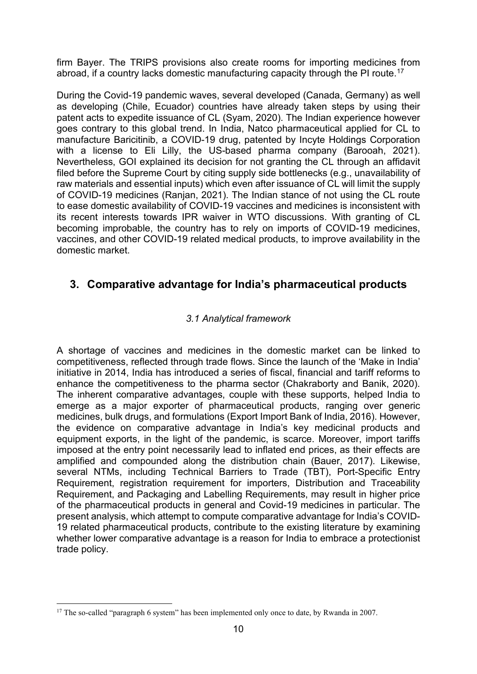firm Bayer. The TRIPS provisions also create rooms for importing medicines from abroad, if a country lacks domestic manufacturing capacity through the PI route.<sup>[17](#page-11-1)</sup>

During the Covid-19 pandemic waves, several developed (Canada, Germany) as well as developing (Chile, Ecuador) countries have already taken steps by using their patent acts to expedite issuance of CL (Syam, 2020). The Indian experience however goes contrary to this global trend. In India, Natco pharmaceutical applied for CL to manufacture Baricitinib, a COVID-19 drug, patented by Incyte Holdings Corporation with a license to Eli Lilly, the US-based pharma company (Barooah, 2021). Nevertheless, GOI explained its decision for not granting the CL through an affidavit filed before the Supreme Court by citing supply side bottlenecks (e.g., unavailability of raw materials and essential inputs) which even after issuance of CL will limit the supply of COVID-19 medicines (Ranjan, 2021). The Indian stance of not using the CL route to ease domestic availability of COVID-19 vaccines and medicines is inconsistent with its recent interests towards IPR waiver in WTO discussions. With granting of CL becoming improbable, the country has to rely on imports of COVID-19 medicines, vaccines, and other COVID-19 related medical products, to improve availability in the domestic market.

## <span id="page-11-0"></span>**3. Comparative advantage for India's pharmaceutical products**

### *3.1 Analytical framework*

A shortage of vaccines and medicines in the domestic market can be linked to competitiveness, reflected through trade flows. Since the launch of the 'Make in India' initiative in 2014, India has introduced a series of fiscal, financial and tariff reforms to enhance the competitiveness to the pharma sector (Chakraborty and Banik, 2020). The inherent comparative advantages, couple with these supports, helped India to emerge as a major exporter of pharmaceutical products, ranging over generic medicines, bulk drugs, and formulations (Export Import Bank of India, 2016). However, the evidence on comparative advantage in India's key medicinal products and equipment exports, in the light of the pandemic, is scarce. Moreover, import tariffs imposed at the entry point necessarily lead to inflated end prices, as their effects are amplified and compounded along the distribution chain (Bauer, 2017). Likewise, several NTMs, including Technical Barriers to Trade (TBT), Port-Specific Entry Requirement, registration requirement for importers, Distribution and Traceability Requirement, and Packaging and Labelling Requirements, may result in higher price of the pharmaceutical products in general and Covid-19 medicines in particular. The present analysis, which attempt to compute comparative advantage for India's COVID-19 related pharmaceutical products, contribute to the existing literature by examining whether lower comparative advantage is a reason for India to embrace a protectionist trade policy.

<span id="page-11-1"></span><sup>&</sup>lt;sup>17</sup> The so-called "paragraph 6 system" has been implemented only once to date, by Rwanda in 2007.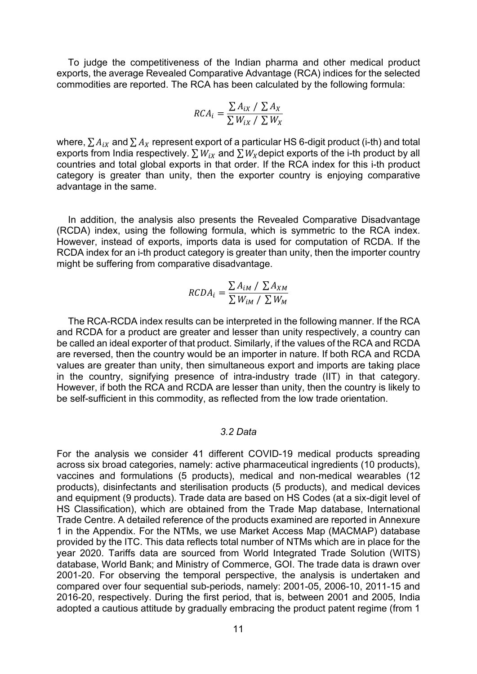To judge the competitiveness of the Indian pharma and other medical product exports, the average Revealed Comparative Advantage (RCA) indices for the selected commodities are reported. The RCA has been calculated by the following formula:

$$
RCA_i = \frac{\sum A_{ix} / \sum A_x}{\sum W_{ix} / \sum W_x}
$$

where,  $\sum A_{ix}$  and  $\sum A_x$  represent export of a particular HS 6-digit product (i-th) and total exports from India respectively.  $\sum W_{iX}$  and  $\sum W_X$ depict exports of the i-th product by all countries and total global exports in that order. If the RCA index for this i-th product category is greater than unity, then the exporter country is enjoying comparative advantage in the same.

In addition, the analysis also presents the Revealed Comparative Disadvantage (RCDA) index, using the following formula, which is symmetric to the RCA index. However, instead of exports, imports data is used for computation of RCDA. If the RCDA index for an i-th product category is greater than unity, then the importer country might be suffering from comparative disadvantage.

$$
RCDA_i = \frac{\sum A_{iM} / \sum A_{XM}}{\sum W_{iM} / \sum W_{M}}
$$

The RCA-RCDA index results can be interpreted in the following manner. If the RCA and RCDA for a product are greater and lesser than unity respectively, a country can be called an ideal exporter of that product. Similarly, if the values of the RCA and RCDA are reversed, then the country would be an importer in nature. If both RCA and RCDA values are greater than unity, then simultaneous export and imports are taking place in the country, signifying presence of intra-industry trade (IIT) in that category. However, if both the RCA and RCDA are lesser than unity, then the country is likely to be self-sufficient in this commodity, as reflected from the low trade orientation.

#### *3.2 Data*

For the analysis we consider 41 different COVID-19 medical products spreading across six broad categories, namely: active pharmaceutical ingredients (10 products), vaccines and formulations (5 products), medical and non-medical wearables (12 products), disinfectants and sterilisation products (5 products), and medical devices and equipment (9 products). Trade data are based on HS Codes (at a six-digit level of HS Classification), which are obtained from the Trade Map database, International Trade Centre. A detailed reference of the products examined are reported in Annexure 1 in the Appendix. For the NTMs, we use Market Access Map (MACMAP) database provided by the ITC. This data reflects total number of NTMs which are in place for the year 2020. Tariffs data are sourced from World Integrated Trade Solution (WITS) database, World Bank; and Ministry of Commerce, GOI. The trade data is drawn over 2001-20. For observing the temporal perspective, the analysis is undertaken and compared over four sequential sub-periods, namely: 2001-05, 2006-10, 2011-15 and 2016-20, respectively. During the first period, that is, between 2001 and 2005, India adopted a cautious attitude by gradually embracing the product patent regime (from 1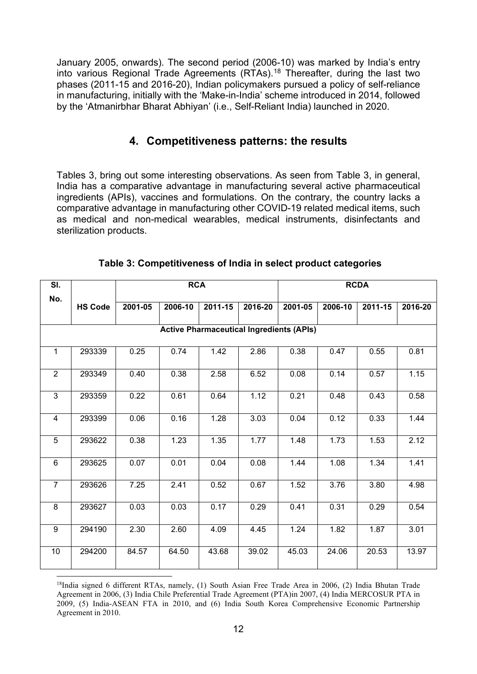January 2005, onwards). The second period (2006-10) was marked by India's entry into various Regional Trade Agreements (RTAs).<sup>[18](#page-13-1)</sup> Thereafter, during the last two phases (2011-15 and 2016-20), Indian policymakers pursued a policy of self-reliance in manufacturing, initially with the 'Make-in-India' scheme introduced in 2014, followed by the 'Atmanirbhar Bharat Abhiyan' (i.e., Self-Reliant India) launched in 2020.

## **4. Competitiveness patterns: the results**

<span id="page-13-0"></span>Tables 3, bring out some interesting observations. As seen from Table 3, in general, India has a comparative advantage in manufacturing several active pharmaceutical ingredients (APIs), vaccines and formulations. On the contrary, the country lacks a comparative advantage in manufacturing other COVID-19 related medical items, such as medical and non-medical wearables, medical instruments, disinfectants and sterilization products.

| SI.            |                                                 |         | <b>RCA</b> |         |         | <b>RCDA</b> |         |         |         |  |  |  |  |  |
|----------------|-------------------------------------------------|---------|------------|---------|---------|-------------|---------|---------|---------|--|--|--|--|--|
| No.            | <b>HS Code</b>                                  | 2001-05 | 2006-10    | 2011-15 | 2016-20 | 2001-05     | 2006-10 | 2011-15 | 2016-20 |  |  |  |  |  |
|                | <b>Active Pharmaceutical Ingredients (APIs)</b> |         |            |         |         |             |         |         |         |  |  |  |  |  |
| $\mathbf{1}$   | 293339                                          | 0.25    | 0.74       | 1.42    | 2.86    | 0.38        | 0.47    | 0.55    | 0.81    |  |  |  |  |  |
| $\overline{2}$ | 293349                                          | 0.40    | 0.38       | 2.58    | 6.52    | 0.08        | 0.14    | 0.57    | 1.15    |  |  |  |  |  |
| 3              | 293359                                          | 0.22    | 0.61       | 0.64    | 1.12    | 0.21        | 0.48    | 0.43    | 0.58    |  |  |  |  |  |
| $\overline{4}$ | 293399                                          | 0.06    | 0.16       | 1.28    | 3.03    | 0.04        | 0.12    | 0.33    | 1.44    |  |  |  |  |  |
| 5              | 293622                                          | 0.38    | 1.23       | 1.35    | 1.77    | 1.48        | 1.73    | 1.53    | 2.12    |  |  |  |  |  |
| 6              | 293625                                          | 0.07    | 0.01       | 0.04    | 0.08    | 1.44        | 1.08    | 1.34    | 1.41    |  |  |  |  |  |
| $\overline{7}$ | 293626                                          | 7.25    | 2.41       | 0.52    | 0.67    | 1.52        | 3.76    | 3.80    | 4.98    |  |  |  |  |  |
| $\overline{8}$ | 293627                                          | 0.03    | 0.03       | 0.17    | 0.29    | 0.41        | 0.31    | 0.29    | 0.54    |  |  |  |  |  |
| $\overline{9}$ | 294190                                          | 2.30    | 2.60       | 4.09    | 4.45    | 1.24        | 1.82    | 1.87    | 3.01    |  |  |  |  |  |
| 10             | 294200                                          | 84.57   | 64.50      | 43.68   | 39.02   | 45.03       | 24.06   | 20.53   | 13.97   |  |  |  |  |  |

**Table 3: Competitiveness of India in select product categories**

<span id="page-13-1"></span><sup>&</sup>lt;sup>18</sup>India signed 6 different RTAs, namely, (1) South Asian Free Trade Area in 2006, (2) India Bhutan Trade Agreement in 2006, (3) India Chile Preferential Trade Agreement (PTA)in 2007, (4) India MERCOSUR PTA in 2009, (5) India-ASEAN FTA in 2010, and (6) India South Korea Comprehensive Economic Partnership Agreement in 2010.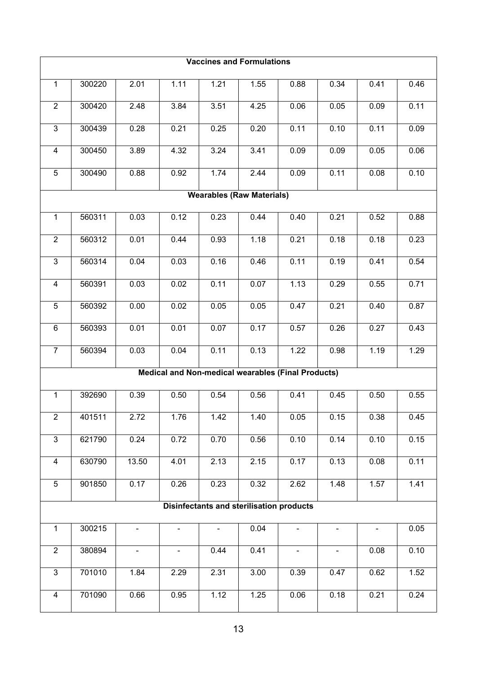|                                                                                        | <b>Vaccines and Formulations</b> |                |                |      |                                                 |                                                    |      |      |      |  |  |  |  |
|----------------------------------------------------------------------------------------|----------------------------------|----------------|----------------|------|-------------------------------------------------|----------------------------------------------------|------|------|------|--|--|--|--|
| $\mathbf{1}$                                                                           | 300220                           | 2.01           | 1.11           | 1.21 | 1.55                                            | 0.88                                               | 0.34 | 0.41 | 0.46 |  |  |  |  |
| $\overline{2}$                                                                         | 300420                           | 2.48           | 3.84           | 3.51 | 4.25                                            | 0.06                                               | 0.05 | 0.09 | 0.11 |  |  |  |  |
| 3                                                                                      | 300439                           | 0.28           | 0.21           | 0.25 | 0.20                                            | 0.11                                               | 0.10 | 0.11 | 0.09 |  |  |  |  |
| 4                                                                                      | 300450                           | 3.89           | 4.32           | 3.24 | 3.41                                            | 0.09                                               | 0.09 | 0.05 | 0.06 |  |  |  |  |
| 5                                                                                      | 300490                           | 0.88           | 0.92           | 1.74 | 2.44                                            | 0.09                                               | 0.11 | 0.08 | 0.10 |  |  |  |  |
|                                                                                        |                                  |                |                |      | <b>Wearables (Raw Materials)</b>                |                                                    |      |      |      |  |  |  |  |
| $\mathbf{1}$<br>560311<br>0.03<br>0.12<br>0.23<br>0.44<br>0.40<br>0.21<br>0.52<br>0.88 |                                  |                |                |      |                                                 |                                                    |      |      |      |  |  |  |  |
| $\overline{2}$                                                                         | 560312                           | 0.01           | 0.44           | 0.93 | 1.18                                            | 0.21                                               | 0.18 | 0.18 | 0.23 |  |  |  |  |
| 3                                                                                      | 560314                           | 0.04           | 0.03           | 0.16 | 0.46                                            | 0.11                                               | 0.19 | 0.41 | 0.54 |  |  |  |  |
| $\overline{4}$                                                                         | 560391                           | 0.03           | 0.02           | 0.11 | 0.07                                            | 1.13                                               | 0.29 | 0.55 | 0.71 |  |  |  |  |
| 5                                                                                      | 560392                           | 0.00           | 0.02           | 0.05 | 0.05                                            | 0.47                                               | 0.21 | 0.40 | 0.87 |  |  |  |  |
| $\,6\,$                                                                                | 560393                           | 0.01           | 0.01           | 0.07 | 0.17                                            | 0.57                                               | 0.26 | 0.27 | 0.43 |  |  |  |  |
| $\overline{7}$                                                                         | 560394                           | 0.03           | 0.04           | 0.11 | 0.13                                            | 1.22                                               | 0.98 | 1.19 | 1.29 |  |  |  |  |
|                                                                                        |                                  |                |                |      |                                                 | Medical and Non-medical wearables (Final Products) |      |      |      |  |  |  |  |
| $\mathbf{1}$                                                                           | 392690                           | 0.39           | 0.50           | 0.54 | 0.56                                            | 0.41                                               | 0.45 | 0.50 | 0.55 |  |  |  |  |
| $\overline{2}$                                                                         | 401511                           | 2.72           | 1.76           | 1.42 | 1.40                                            | 0.05                                               | 0.15 | 0.38 | 0.45 |  |  |  |  |
| $\overline{3}$                                                                         | 621790                           | 0.24           | 0.72           | 0.70 | 0.56                                            | 0.10                                               | 0.14 | 0.10 | 0.15 |  |  |  |  |
| $\overline{\mathbf{4}}$                                                                | 630790                           | 13.50          | 4.01           | 2.13 | 2.15                                            | 0.17                                               | 0.13 | 0.08 | 0.11 |  |  |  |  |
| 5                                                                                      | 901850                           | 0.17           | 0.26           | 0.23 | 0.32                                            | 2.62                                               | 1.48 | 1.57 | 1.41 |  |  |  |  |
|                                                                                        |                                  |                |                |      | <b>Disinfectants and sterilisation products</b> |                                                    |      |      |      |  |  |  |  |
| $\mathbf{1}$                                                                           | 300215                           | ۰.             | ۰              |      | 0.04                                            |                                                    |      |      | 0.05 |  |  |  |  |
| $\overline{2}$                                                                         | 380894                           | $\blacksquare$ | $\blacksquare$ | 0.44 | 0.41                                            | $\blacksquare$                                     | ۰.   | 0.08 | 0.10 |  |  |  |  |
| 3                                                                                      | 701010                           | 1.84           | 2.29           | 2.31 | 3.00                                            | 0.39                                               | 0.47 | 0.62 | 1.52 |  |  |  |  |
| $\overline{\mathbf{4}}$                                                                | 701090                           | 0.66           | 0.95           | 1.12 | 1.25                                            | 0.06                                               | 0.18 | 0.21 | 0.24 |  |  |  |  |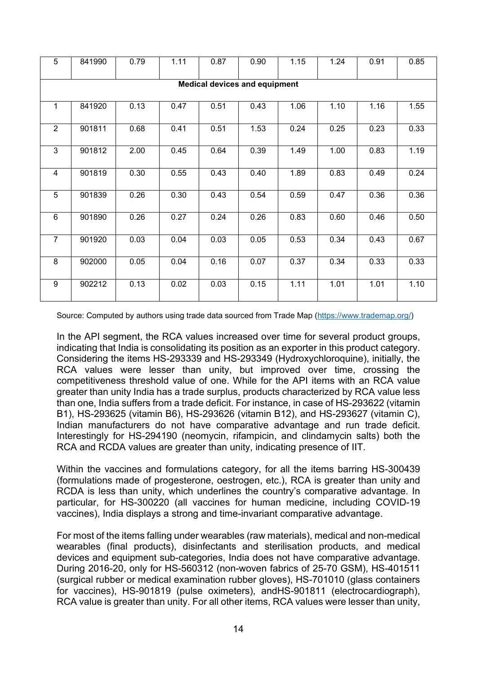| 5              | 841990                               | 0.79 | 1.11 | 0.87 | 0.90 | 1.15 | 1.24 | 0.91 | 0.85 |  |  |  |  |  |
|----------------|--------------------------------------|------|------|------|------|------|------|------|------|--|--|--|--|--|
|                | <b>Medical devices and equipment</b> |      |      |      |      |      |      |      |      |  |  |  |  |  |
| 1              | 841920                               | 0.13 | 0.47 | 0.51 | 0.43 | 1.06 | 1.10 | 1.16 | 1.55 |  |  |  |  |  |
| $\overline{2}$ | 901811                               | 0.68 | 0.41 | 0.51 | 1.53 | 0.24 | 0.25 | 0.23 | 0.33 |  |  |  |  |  |
| 3              | 901812                               | 2.00 | 0.45 | 0.64 | 0.39 | 1.49 | 1.00 | 0.83 | 1.19 |  |  |  |  |  |
| 4              | 901819                               | 0.30 | 0.55 | 0.43 | 0.40 | 1.89 | 0.83 | 0.49 | 0.24 |  |  |  |  |  |
| $\overline{5}$ | 901839                               | 0.26 | 0.30 | 0.43 | 0.54 | 0.59 | 0.47 | 0.36 | 0.36 |  |  |  |  |  |
| $6\phantom{1}$ | 901890                               | 0.26 | 0.27 | 0.24 | 0.26 | 0.83 | 0.60 | 0.46 | 0.50 |  |  |  |  |  |
| $\overline{7}$ | 901920                               | 0.03 | 0.04 | 0.03 | 0.05 | 0.53 | 0.34 | 0.43 | 0.67 |  |  |  |  |  |
| 8              | 902000                               | 0.05 | 0.04 | 0.16 | 0.07 | 0.37 | 0.34 | 0.33 | 0.33 |  |  |  |  |  |
| 9              | 902212                               | 0.13 | 0.02 | 0.03 | 0.15 | 1.11 | 1.01 | 1.01 | 1.10 |  |  |  |  |  |

Source: Computed by authors using trade data sourced from Trade Map [\(https://www.trademap.org/\)](https://www.trademap.org/)

In the API segment, the RCA values increased over time for several product groups, indicating that India is consolidating its position as an exporter in this product category. Considering the items HS-293339 and HS-293349 (Hydroxychloroquine), initially, the RCA values were lesser than unity, but improved over time, crossing the competitiveness threshold value of one. While for the API items with an RCA value greater than unity India has a trade surplus, products characterized by RCA value less than one, India suffers from a trade deficit. For instance, in case of HS-293622 (vitamin B1), HS-293625 (vitamin B6), HS-293626 (vitamin B12), and HS-293627 (vitamin C), Indian manufacturers do not have comparative advantage and run trade deficit. Interestingly for HS-294190 (neomycin, rifampicin, and clindamycin salts) both the RCA and RCDA values are greater than unity, indicating presence of IIT.

Within the vaccines and formulations category, for all the items barring HS-300439 (formulations made of progesterone, oestrogen, etc.), RCA is greater than unity and RCDA is less than unity, which underlines the country's comparative advantage. In particular, for HS-300220 (all vaccines for human medicine, including COVID-19 vaccines), India displays a strong and time-invariant comparative advantage.

For most of the items falling under wearables (raw materials), medical and non-medical wearables (final products), disinfectants and sterilisation products, and medical devices and equipment sub-categories, India does not have comparative advantage. During 2016-20, only for HS-560312 (non-woven fabrics of 25-70 GSM), HS-401511 (surgical rubber or medical examination rubber gloves), HS-701010 (glass containers for vaccines), HS-901819 (pulse oximeters), andHS-901811 (electrocardiograph), RCA value is greater than unity. For all other items, RCA values were lesser than unity,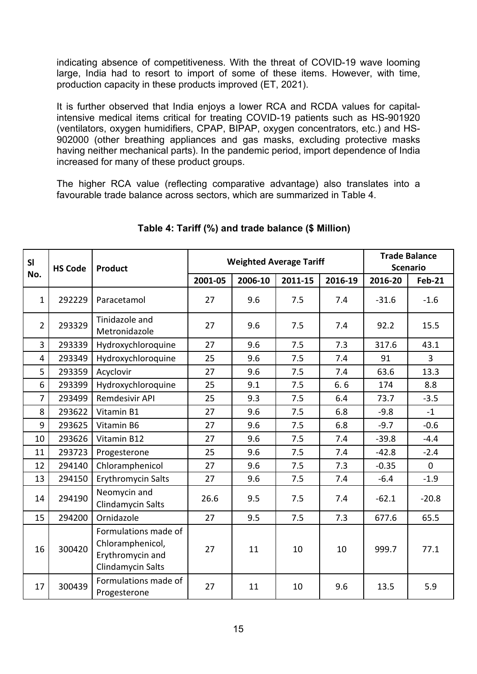indicating absence of competitiveness. With the threat of COVID-19 wave looming large, India had to resort to import of some of these items. However, with time, production capacity in these products improved (ET, 2021).

It is further observed that India enjoys a lower RCA and RCDA values for capitalintensive medical items critical for treating COVID-19 patients such as HS-901920 (ventilators, oxygen humidifiers, CPAP, BIPAP, oxygen concentrators, etc.) and HS-902000 (other breathing appliances and gas masks, excluding protective masks having neither mechanical parts). In the pandemic period, import dependence of India increased for many of these product groups.

The higher RCA value (reflecting comparative advantage) also translates into a favourable trade balance across sectors, which are summarized in Table 4.

| SI             | <b>HS Code</b> | <b>Product</b>                                                                    |         | <b>Weighted Average Tariff</b> |         | <b>Trade Balance</b><br><b>Scenario</b> |         |               |
|----------------|----------------|-----------------------------------------------------------------------------------|---------|--------------------------------|---------|-----------------------------------------|---------|---------------|
| No.            |                |                                                                                   | 2001-05 | 2006-10                        | 2011-15 | 2016-19                                 | 2016-20 | <b>Feb-21</b> |
| $\mathbf{1}$   | 292229         | Paracetamol                                                                       | 27      | 9.6                            | 7.5     | 7.4                                     | $-31.6$ | $-1.6$        |
| $\overline{2}$ | 293329         | Tinidazole and<br>Metronidazole                                                   | 27      | 9.6                            | 7.5     | 7.4                                     | 92.2    | 15.5          |
| 3              | 293339         | Hydroxychloroquine                                                                | 27      | 9.6                            | 7.5     | 7.3                                     | 317.6   | 43.1          |
| 4              | 293349         | Hydroxychloroquine                                                                | 25      | 9.6                            | 7.5     | 7.4                                     | 91      | $\mathbf{3}$  |
| 5              | 293359         | Acyclovir                                                                         | 27      | 9.6                            | 7.5     | 7.4                                     | 63.6    | 13.3          |
| 6              | 293399         | Hydroxychloroquine                                                                | 25      | 9.1                            | 7.5     | 6.6                                     | 174     | 8.8           |
| $\overline{7}$ | 293499         | Remdesivir API                                                                    | 25      | 9.3                            | 7.5     | 6.4                                     | 73.7    | $-3.5$        |
| 8              | 293622         | Vitamin B1                                                                        | 27      | 9.6                            | 7.5     | 6.8                                     | $-9.8$  | $-1$          |
| 9              | 293625         | Vitamin B6                                                                        | 27      | 9.6                            | 7.5     | 6.8                                     | $-9.7$  | $-0.6$        |
| 10             | 293626         | Vitamin B12                                                                       | 27      | 9.6                            | 7.5     | 7.4                                     | $-39.8$ | $-4.4$        |
| 11             | 293723         | Progesterone                                                                      | 25      | 9.6                            | 7.5     | 7.4                                     | $-42.8$ | $-2.4$        |
| 12             | 294140         | Chloramphenicol                                                                   | 27      | 9.6                            | 7.5     | 7.3                                     | $-0.35$ | $\mathbf 0$   |
| 13             | 294150         | <b>Erythromycin Salts</b>                                                         | 27      | 9.6                            | 7.5     | 7.4                                     | $-6.4$  | $-1.9$        |
| 14             | 294190         | Neomycin and<br>Clindamycin Salts                                                 | 26.6    | 9.5                            | 7.5     | 7.4                                     | $-62.1$ | $-20.8$       |
| 15             | 294200         | Ornidazole                                                                        | 27      | 9.5                            | 7.5     | 7.3                                     | 677.6   | 65.5          |
| 16             | 300420         | Formulations made of<br>Chloramphenicol,<br>Erythromycin and<br>Clindamycin Salts | 27      | 11                             | 10      | 10                                      | 999.7   | 77.1          |
| 17             | 300439         | Formulations made of<br>Progesterone                                              | 27      | 11                             | 10      | 9.6                                     | 13.5    | 5.9           |

### **Table 4: Tariff (%) and trade balance (\$ Million)**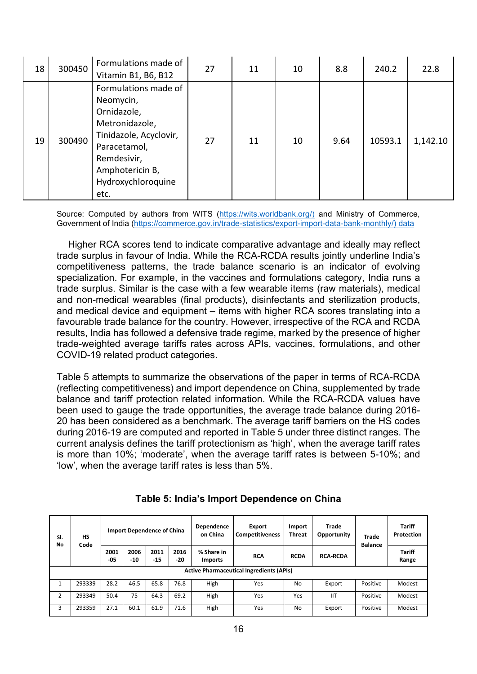| 18 | 300450 | Formulations made of<br>Vitamin B1, B6, B12                                                                                                                                  | 27 | 11 | 10 | 8.8  | 240.2   | 22.8     |
|----|--------|------------------------------------------------------------------------------------------------------------------------------------------------------------------------------|----|----|----|------|---------|----------|
| 19 | 300490 | Formulations made of<br>Neomycin,<br>Ornidazole,<br>Metronidazole,<br>Tinidazole, Acyclovir,<br>Paracetamol,<br>Remdesivir,<br>Amphotericin B,<br>Hydroxychloroquine<br>etc. | 27 | 11 | 10 | 9.64 | 10593.1 | 1,142.10 |

Source: Computed by authors from WITS [\(https://wits.worldbank.org/\)](https://wits.worldbank.org/) and Ministry of Commerce, Government of India [\(https://commerce.gov.in/trade-statistics/export-import-data-bank-monthly/\)](https://commerce.gov.in/trade-statistics/export-import-data-bank-monthly/) data

Higher RCA scores tend to indicate comparative advantage and ideally may reflect trade surplus in favour of India. While the RCA-RCDA results jointly underline India's competitiveness patterns, the trade balance scenario is an indicator of evolving specialization. For example, in the vaccines and formulations category, India runs a trade surplus. Similar is the case with a few wearable items (raw materials), medical and non-medical wearables (final products), disinfectants and sterilization products, and medical device and equipment – items with higher RCA scores translating into a favourable trade balance for the country. However, irrespective of the RCA and RCDA results, India has followed a defensive trade regime, marked by the presence of higher trade-weighted average tariffs rates across APIs, vaccines, formulations, and other COVID-19 related product categories.

Table 5 attempts to summarize the observations of the paper in terms of RCA-RCDA (reflecting competitiveness) and import dependence on China, supplemented by trade balance and tariff protection related information. While the RCA-RCDA values have been used to gauge the trade opportunities, the average trade balance during 2016- 20 has been considered as a benchmark. The average tariff barriers on the HS codes during 2016-19 are computed and reported in Table 5 under three distinct ranges. The current analysis defines the tariff protectionism as 'high', when the average tariff rates is more than 10%; 'moderate', when the average tariff rates is between 5-10%; and 'low', when the average tariff rates is less than 5%.

| SI.<br>No      | HS<br>Code                                      | <b>Import Dependence of China</b> |               |               |               | Dependence<br>on China | Export<br><b>Competitiveness</b> | Import<br><b>Threat</b> | Trade<br>Opportunity | Trade<br><b>Balance</b> | <b>Tariff</b><br>Protection |                        |
|----------------|-------------------------------------------------|-----------------------------------|---------------|---------------|---------------|------------------------|----------------------------------|-------------------------|----------------------|-------------------------|-----------------------------|------------------------|
|                |                                                 |                                   | 2001<br>$-05$ | 2006<br>$-10$ | 2011<br>$-15$ | 2016<br>-20            | % Share in<br><b>Imports</b>     | <b>RCA</b>              | <b>RCDA</b>          | <b>RCA-RCDA</b>         |                             | <b>Tariff</b><br>Range |
|                | <b>Active Pharmaceutical Ingredients (APIs)</b> |                                   |               |               |               |                        |                                  |                         |                      |                         |                             |                        |
|                | 293339                                          | 28.2                              | 46.5          | 65.8          | 76.8          | High                   | Yes                              | No                      | Export               | Positive                | Modest                      |                        |
| $\overline{2}$ | 293349                                          | 50.4                              | 75            | 64.3          | 69.2          | High                   | Yes                              | Yes                     | <b>IIT</b>           | Positive                | Modest                      |                        |
| 3              | 293359                                          | 27.1                              | 60.1          | 61.9          | 71.6          | High                   | Yes                              | No                      | Export               | Positive                | Modest                      |                        |

**Table 5: India's Import Dependence on China**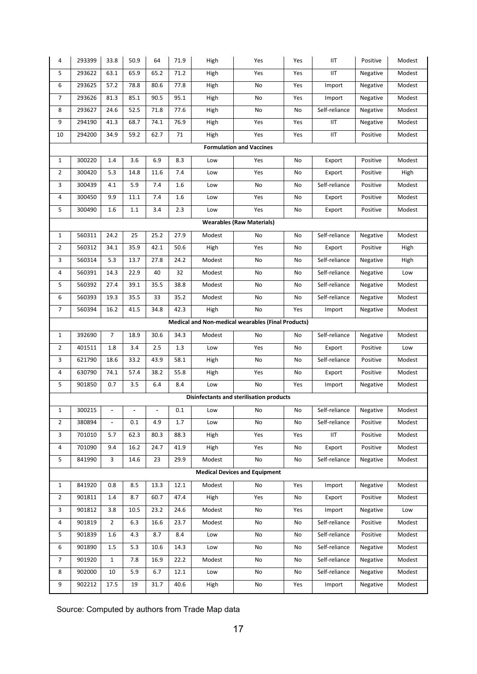| 4              | 293399                                                    | 33.8           | 50.9    | 64   | 71.9 | High   | Yes                                      | Yes | IIT           | Positive | Modest |  |
|----------------|-----------------------------------------------------------|----------------|---------|------|------|--------|------------------------------------------|-----|---------------|----------|--------|--|
| 5              | 293622                                                    | 63.1           | 65.9    | 65.2 | 71.2 | High   | Yes                                      | Yes | IIT           | Negative | Modest |  |
| 6              | 293625                                                    | 57.2           | 78.8    | 80.6 | 77.8 | High   | No                                       | Yes | Import        | Negative | Modest |  |
| 7              | 293626                                                    | 81.3           | 85.1    | 90.5 | 95.1 | High   | No                                       | Yes | Import        | Negative | Modest |  |
| 8              | 293627                                                    | 24.6           | 52.5    | 71.8 | 77.6 | High   | No                                       | No  | Self-reliance | Negative | Modest |  |
| 9              | 294190                                                    | 41.3           | 68.7    | 74.1 | 76.9 | High   | Yes                                      | Yes | IIT           | Negative | Modest |  |
| 10             | 294200                                                    | 34.9           | 59.2    | 62.7 | 71   | High   | Yes                                      | Yes | IIT           | Positive | Modest |  |
|                |                                                           |                |         |      |      |        | <b>Formulation and Vaccines</b>          |     |               |          |        |  |
| 1              | 300220                                                    | 1.4            | 3.6     | 6.9  | 8.3  | Low    | Yes                                      | No  | Export        | Positive | Modest |  |
| 2              | 300420                                                    | 5.3            | 14.8    | 11.6 | 7.4  | Low    | Yes                                      | No  | Export        | Positive | High   |  |
| 3              | 300439                                                    | 4.1            | 5.9     | 7.4  | 1.6  | Low    | No                                       | No  | Self-reliance | Positive | Modest |  |
| 4              | 300450                                                    | 9.9            | 11.1    | 7.4  | 1.6  | Low    | Yes                                      | No  | Export        | Positive | Modest |  |
| 5              | 300490                                                    | 1.6            | $1.1\,$ | 3.4  | 2.3  | Low    | Yes                                      | No  | Export        | Positive | Modest |  |
|                | <b>Wearables (Raw Materials)</b>                          |                |         |      |      |        |                                          |     |               |          |        |  |
| $\mathbf 1$    | 560311                                                    | 24.2           | 25      | 25.2 | 27.9 | Modest | No                                       | No  | Self-reliance | Negative | Modest |  |
| $\overline{2}$ | 560312                                                    | 34.1           | 35.9    | 42.1 | 50.6 | High   | Yes                                      | No  | Export        | Positive | High   |  |
| 3              | 560314                                                    | 5.3            | 13.7    | 27.8 | 24.2 | Modest | No                                       | No  | Self-reliance | Negative | High   |  |
| 4              | 560391                                                    | 14.3           | 22.9    | 40   | 32   | Modest | No                                       | No  | Self-reliance | Negative | Low    |  |
| 5              | 560392                                                    | 27.4           | 39.1    | 35.5 | 38.8 | Modest | No                                       | No  | Self-reliance | Negative | Modest |  |
| 6              | 560393                                                    | 19.3           | 35.5    | 33   | 35.2 | Modest | No                                       | No  | Self-reliance | Negative | Modest |  |
| 7              | 560394                                                    | 16.2           | 41.5    | 34.8 | 42.3 | High   | No                                       | Yes | Import        | Negative | Modest |  |
|                | <b>Medical and Non-medical wearables (Final Products)</b> |                |         |      |      |        |                                          |     |               |          |        |  |
| $\mathbf 1$    | 392690                                                    | $\overline{7}$ | 18.9    | 30.6 | 34.3 | Modest | No                                       | No  | Self-reliance | Negative | Modest |  |
| $\overline{2}$ | 401511                                                    | 1.8            | 3.4     | 2.5  | 1.3  | Low    | Yes                                      | No  | Export        | Positive | Low    |  |
| 3              | 621790                                                    | 18.6           | 33.2    | 43.9 | 58.1 | High   | No                                       | No  | Self-reliance | Positive | Modest |  |
| 4              | 630790                                                    | 74.1           | 57.4    | 38.2 | 55.8 | High   | Yes                                      | No  | Export        | Positive | Modest |  |
| 5              | 901850                                                    | 0.7            | 3.5     | 6.4  | 8.4  | Low    | No                                       | Yes | Import        | Negative | Modest |  |
|                |                                                           |                |         |      |      |        | Disinfectants and sterilisation products |     |               |          |        |  |
| 1              | 300215                                                    |                |         |      | 0.1  | Low    | No                                       | No  | Self-reliance | Negative | Modest |  |
| 2              | 380894                                                    | $\blacksquare$ | 0.1     | 4.9  | 1.7  | Low    | No                                       | No  | Self-reliance | Positive | Modest |  |
| 3              | 701010                                                    | 5.7            | 62.3    | 80.3 | 88.3 | High   | Yes                                      | Yes | <b>IIT</b>    | Positive | Modest |  |
| 4              | 701090                                                    | 9.4            | 16.2    | 24.7 | 41.9 | High   | Yes                                      | No  | Export        | Positive | Modest |  |
| 5              | 841990                                                    | 3              | 14.6    | 23   | 29.9 | Modest | No                                       | No  | Self-reliance | Negative | Modest |  |
|                |                                                           |                |         |      |      |        | <b>Medical Devices and Equipment</b>     |     |               |          |        |  |
| $\mathbf{1}$   | 841920                                                    | 0.8            | 8.5     | 13.3 | 12.1 | Modest | No                                       | Yes | Import        | Negative | Modest |  |
| $\overline{2}$ | 901811                                                    | 1.4            | 8.7     | 60.7 | 47.4 | High   | Yes                                      | No  | Export        | Positive | Modest |  |
| 3              | 901812                                                    | 3.8            | 10.5    | 23.2 | 24.6 | Modest | No                                       | Yes | Import        | Negative | Low    |  |
| 4              | 901819                                                    | $\overline{2}$ | 6.3     | 16.6 | 23.7 | Modest | No                                       | No  | Self-reliance | Positive | Modest |  |
| 5              | 901839                                                    | 1.6            | 4.3     | 8.7  | 8.4  | Low    | No                                       | No  | Self-reliance | Positive | Modest |  |
| 6              | 901890                                                    | $1.5\,$        | 5.3     | 10.6 | 14.3 | Low    | No                                       | No  | Self-reliance | Negative | Modest |  |
| 7              | 901920                                                    | $\mathbf{1}$   | 7.8     | 16.9 | 22.2 | Modest | No                                       | No  | Self-reliance | Negative | Modest |  |
| 8              | 902000                                                    | 10             | 5.9     | 6.7  | 12.1 | Low    | No                                       | No  | Self-reliance | Negative | Modest |  |
| 9              | 902212                                                    | 17.5           | 19      | 31.7 | 40.6 | High   | No                                       | Yes | Import        | Negative | Modest |  |

Source: Computed by authors from Trade Map data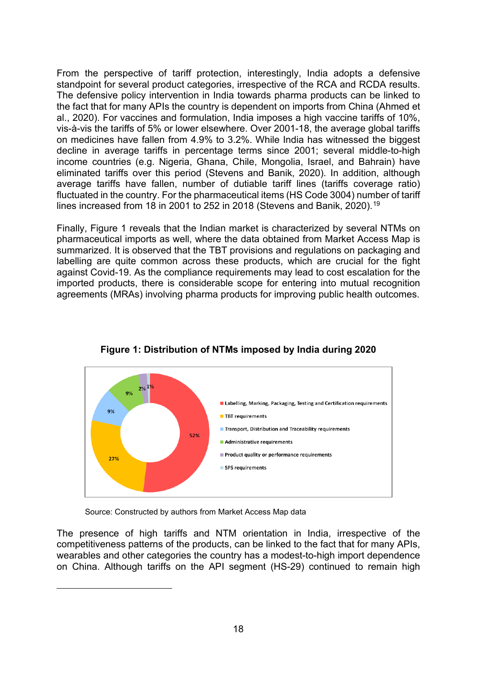From the perspective of tariff protection, interestingly, India adopts a defensive standpoint for several product categories, irrespective of the RCA and RCDA results. The defensive policy intervention in India towards pharma products can be linked to the fact that for many APIs the country is dependent on imports from China (Ahmed et al., 2020). For vaccines and formulation, India imposes a high vaccine tariffs of 10%, vis-à-vis the tariffs of 5% or lower elsewhere. Over 2001-18, the average global tariffs on medicines have fallen from 4.9% to 3.2%. While India has witnessed the biggest decline in average tariffs in percentage terms since 2001; several middle-to-high income countries (e.g. Nigeria, Ghana, Chile, Mongolia, Israel, and Bahrain) have eliminated tariffs over this period (Stevens and Banik, 2020). In addition, although average tariffs have fallen, number of dutiable tariff lines (tariffs coverage ratio) fluctuated in the country. For the pharmaceutical items (HS Code 3004) number of tariff lines increased from 18 in 2001 to 252 in 2018 (Stevens and Banik, 2020).<sup>[19](#page-19-0)</sup>

Finally, Figure 1 reveals that the Indian market is characterized by several NTMs on pharmaceutical imports as well, where the data obtained from Market Access Map is summarized. It is observed that the TBT provisions and regulations on packaging and labelling are quite common across these products, which are crucial for the fight against Covid-19. As the compliance requirements may lead to cost escalation for the imported products, there is considerable scope for entering into mutual recognition agreements (MRAs) involving pharma products for improving public health outcomes.



**Figure 1: Distribution of NTMs imposed by India during 2020**

Source: Constructed by authors from Market Access Map data

<span id="page-19-0"></span>The presence of high tariffs and NTM orientation in India, irrespective of the competitiveness patterns of the products, can be linked to the fact that for many APIs, wearables and other categories the country has a modest-to-high import dependence on China. Although tariffs on the API segment (HS-29) continued to remain high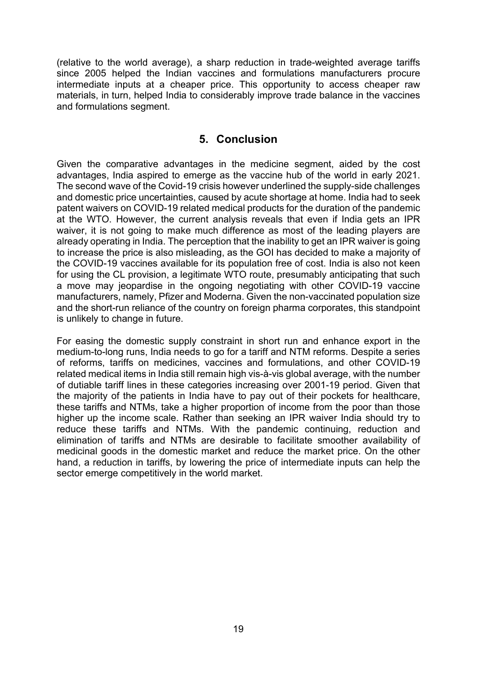(relative to the world average), a sharp reduction in trade-weighted average tariffs since 2005 helped the Indian vaccines and formulations manufacturers procure intermediate inputs at a cheaper price. This opportunity to access cheaper raw materials, in turn, helped India to considerably improve trade balance in the vaccines and formulations segment.

## **5. Conclusion**

<span id="page-20-0"></span>Given the comparative advantages in the medicine segment, aided by the cost advantages, India aspired to emerge as the vaccine hub of the world in early 2021. The second wave of the Covid-19 crisis however underlined the supply-side challenges and domestic price uncertainties, caused by acute shortage at home. India had to seek patent waivers on COVID-19 related medical products for the duration of the pandemic at the WTO. However, the current analysis reveals that even if India gets an IPR waiver, it is not going to make much difference as most of the leading players are already operating in India. The perception that the inability to get an IPR waiver is going to increase the price is also misleading, as the GOI has decided to make a majority of the COVID-19 vaccines available for its population free of cost. India is also not keen for using the CL provision, a legitimate WTO route, presumably anticipating that such a move may jeopardise in the ongoing negotiating with other COVID-19 vaccine manufacturers, namely, Pfizer and Moderna. Given the non-vaccinated population size and the short-run reliance of the country on foreign pharma corporates, this standpoint is unlikely to change in future.

For easing the domestic supply constraint in short run and enhance export in the medium-to-long runs, India needs to go for a tariff and NTM reforms. Despite a series of reforms, tariffs on medicines, vaccines and formulations, and other COVID-19 related medical items in India still remain high vis-à-vis global average, with the number of dutiable tariff lines in these categories increasing over 2001-19 period. Given that the majority of the patients in India have to pay out of their pockets for healthcare, these tariffs and NTMs, take a higher proportion of income from the poor than those higher up the income scale. Rather than seeking an IPR waiver India should try to reduce these tariffs and NTMs. With the pandemic continuing, reduction and elimination of tariffs and NTMs are desirable to facilitate smoother availability of medicinal goods in the domestic market and reduce the market price. On the other hand, a reduction in tariffs, by lowering the price of intermediate inputs can help the sector emerge competitively in the world market.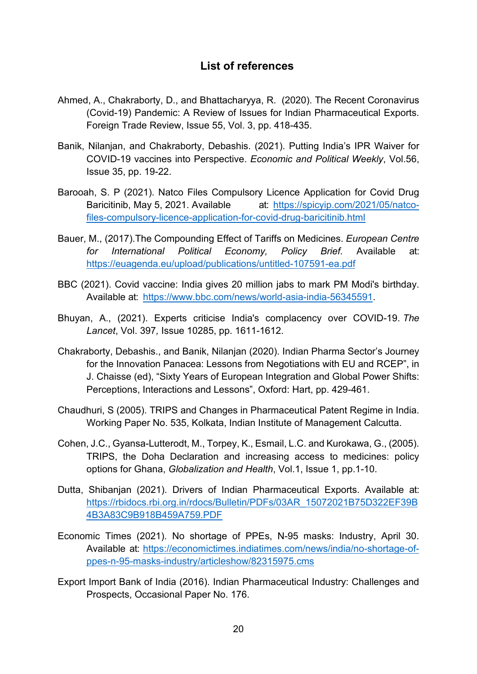### **List of references**

- <span id="page-21-0"></span>Ahmed, A., Chakraborty, D., and Bhattacharyya, R. (2020). The Recent Coronavirus (Covid-19) Pandemic: A Review of Issues for Indian Pharmaceutical Exports. Foreign Trade Review, Issue 55, Vol. 3, pp. 418-435.
- Banik, Nilanjan, and Chakraborty, Debashis. (2021). Putting India's IPR Waiver for COVID-19 vaccines into Perspective. *Economic and Political Weekly*, Vol.56, Issue 35, pp. 19-22.
- Barooah, S. P (2021). Natco Files Compulsory Licence Application for Covid Drug Baricitinib, May 5, 2021. Available at: [https://spicyip.com/2021/05/natco](https://spicyip.com/2021/05/natco-files-compulsory-licence-application-for-covid-drug-baricitinib.html)[files-compulsory-licence-application-for-covid-drug-baricitinib.html](https://spicyip.com/2021/05/natco-files-compulsory-licence-application-for-covid-drug-baricitinib.html)
- Bauer, M., (2017).The Compounding Effect of Tariffs on Medicines. *European Centre for International Political Economy, Policy Brief.* Available at: <https://euagenda.eu/upload/publications/untitled-107591-ea.pdf>
- BBC (2021). Covid vaccine: India gives 20 million jabs to mark PM Modi's birthday. Available at: [https://www.bbc.com/news/world-asia-india-56345591.](https://www.bbc.com/news/world-asia-india-56345591)
- Bhuyan, A., (2021). Experts criticise India's complacency over COVID-19. *The Lancet*, Vol. 397*,* Issue 10285, pp. 1611-1612.
- Chakraborty, Debashis., and Banik, Nilanjan (2020). Indian Pharma Sector's Journey for the Innovation Panacea: Lessons from Negotiations with EU and RCEP", in J. Chaisse (ed), "Sixty Years of European Integration and Global Power Shifts: Perceptions, Interactions and Lessons", Oxford: Hart, pp. 429-461.
- Chaudhuri, S (2005). TRIPS and Changes in Pharmaceutical Patent Regime in India. Working Paper No. 535, Kolkata, Indian Institute of Management Calcutta.
- Cohen, J.C., Gyansa-Lutterodt, M., Torpey, K., Esmail, L.C. and Kurokawa, G., (2005). TRIPS, the Doha Declaration and increasing access to medicines: policy options for Ghana, *Globalization and Health*, Vol.1, Issue 1, pp.1-10.
- Dutta, Shibanjan (2021). Drivers of Indian Pharmaceutical Exports. Available at: [https://rbidocs.rbi.org.in/rdocs/Bulletin/PDFs/03AR\\_15072021B75D322EF39B](https://rbidocs.rbi.org.in/rdocs/Bulletin/PDFs/03AR_15072021B75D322EF39B4B3A83C9B918B459A759.PDF) [4B3A83C9B918B459A759.PDF](https://rbidocs.rbi.org.in/rdocs/Bulletin/PDFs/03AR_15072021B75D322EF39B4B3A83C9B918B459A759.PDF)
- Economic Times (2021). No shortage of PPEs, N-95 masks: Industry, April 30. Available at: [https://economictimes.indiatimes.com/news/india/no-shortage-of](https://economictimes.indiatimes.com/news/india/no-shortage-of-ppes-n-95-masks-industry/articleshow/82315975.cms)[ppes-n-95-masks-industry/articleshow/82315975.cms](https://economictimes.indiatimes.com/news/india/no-shortage-of-ppes-n-95-masks-industry/articleshow/82315975.cms)
- Export Import Bank of India (2016). Indian Pharmaceutical Industry: Challenges and Prospects, Occasional Paper No. 176.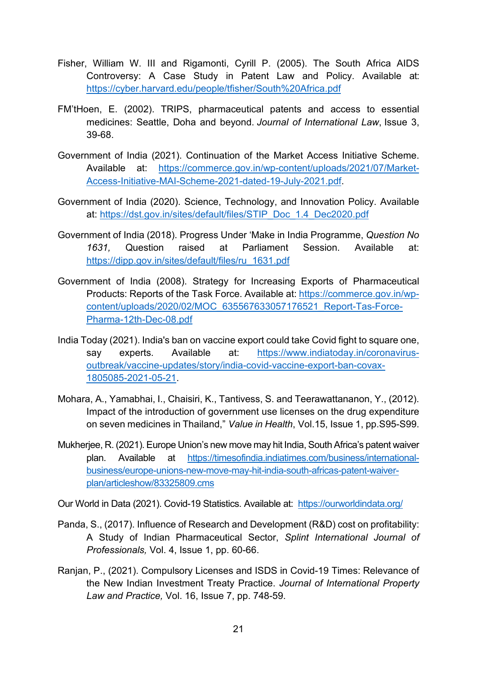- Fisher, William W. III and Rigamonti, Cyrill P. (2005). The South Africa AIDS Controversy: A Case Study in Patent Law and Policy. Available at: <https://cyber.harvard.edu/people/tfisher/South%20Africa.pdf>
- FM'tHoen, E. (2002). TRIPS, pharmaceutical patents and access to essential medicines: Seattle, Doha and beyond. *Journal of International Law*, Issue 3, 39-68.
- Government of India (2021). Continuation of the Market Access Initiative Scheme. Available at: [https://commerce.gov.in/wp-content/uploads/2021/07/Market-](https://commerce.gov.in/wp-content/uploads/2021/07/Market-Access-Initiative-MAI-Scheme-2021-dated-19-July-2021.pdf)[Access-Initiative-MAI-Scheme-2021-dated-19-July-2021.pdf.](https://commerce.gov.in/wp-content/uploads/2021/07/Market-Access-Initiative-MAI-Scheme-2021-dated-19-July-2021.pdf)
- Government of India (2020). Science, Technology, and Innovation Policy. Available at: [https://dst.gov.in/sites/default/files/STIP\\_Doc\\_1.4\\_Dec2020.pdf](https://dst.gov.in/sites/default/files/STIP_Doc_1.4_Dec2020.pdf)
- Government of India (2018). Progress Under 'Make in India Programme, *Question No 1631,* Question raised at Parliament Session. Available at: [https://dipp.gov.in/sites/default/files/ru\\_1631.pdf](https://dipp.gov.in/sites/default/files/ru_1631.pdf)
- Government of India (2008). Strategy for Increasing Exports of Pharmaceutical Products: Reports of the Task Force. Available at: [https://commerce.gov.in/wp](https://commerce.gov.in/wp-content/uploads/2020/02/MOC_635567633057176521_Report-Tas-Force-Pharma-12th-Dec-08.pdf)[content/uploads/2020/02/MOC\\_635567633057176521\\_Report-Tas-Force-](https://commerce.gov.in/wp-content/uploads/2020/02/MOC_635567633057176521_Report-Tas-Force-Pharma-12th-Dec-08.pdf)[Pharma-12th-Dec-08.pdf](https://commerce.gov.in/wp-content/uploads/2020/02/MOC_635567633057176521_Report-Tas-Force-Pharma-12th-Dec-08.pdf)
- India Today (2021). India's ban on vaccine export could take Covid fight to square one, say experts. Available at: [https://www.indiatoday.in/coronavirus](https://www.indiatoday.in/coronavirus-outbreak/vaccine-updates/story/india-covid-vaccine-export-ban-covax-1805085-2021-05-21)[outbreak/vaccine-updates/story/india-covid-vaccine-export-ban-covax-](https://www.indiatoday.in/coronavirus-outbreak/vaccine-updates/story/india-covid-vaccine-export-ban-covax-1805085-2021-05-21)[1805085-2021-05-21.](https://www.indiatoday.in/coronavirus-outbreak/vaccine-updates/story/india-covid-vaccine-export-ban-covax-1805085-2021-05-21)
- Mohara, A., Yamabhai, I., Chaisiri, K., Tantivess, S. and Teerawattananon, Y., (2012). Impact of the introduction of government use licenses on the drug expenditure on seven medicines in Thailand," *Value in Health*, Vol.15, Issue 1, pp.S95-S99.
- Mukherjee, R. (2021). Europe Union's new move may hit India, South Africa's patent waiver plan. Available at [https://timesofindia.indiatimes.com/business/international](https://timesofindia.indiatimes.com/business/international-business/europe-unions-new-move-may-hit-india-south-africas-patent-waiver-plan/articleshow/83325809.cms)[business/europe-unions-new-move-may-hit-india-south-africas-patent-waiver](https://timesofindia.indiatimes.com/business/international-business/europe-unions-new-move-may-hit-india-south-africas-patent-waiver-plan/articleshow/83325809.cms)[plan/articleshow/83325809.cms](https://timesofindia.indiatimes.com/business/international-business/europe-unions-new-move-may-hit-india-south-africas-patent-waiver-plan/articleshow/83325809.cms)

Our World in Data (2021). Covid-19 Statistics. Available at: <https://ourworldindata.org/>

- Panda, S., (2017). Influence of Research and Development (R&D) cost on profitability: A Study of Indian Pharmaceutical Sector, *Splint International Journal of Professionals,* Vol. 4, Issue 1, pp. 60-66.
- Ranjan, P., (2021). Compulsory Licenses and ISDS in Covid-19 Times: Relevance of the New Indian Investment Treaty Practice. *Journal of International Property Law and Practice,* Vol. 16, Issue 7, pp. 748-59.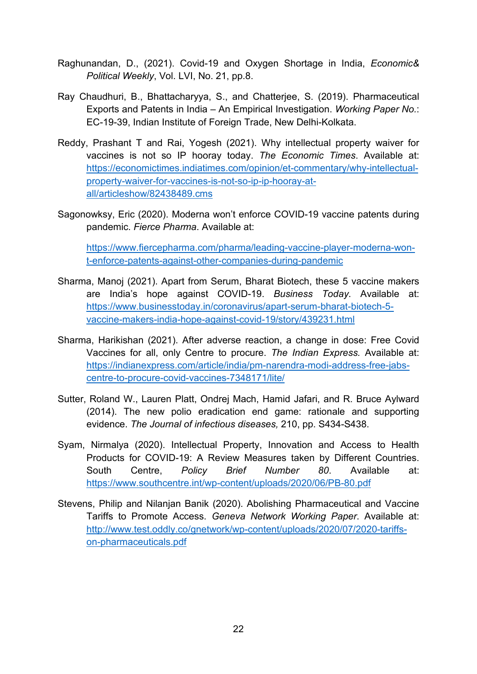- Raghunandan, D., (2021). Covid-19 and Oxygen Shortage in India, *Economic& Political Weekly*, Vol. LVI, No. 21, pp.8.
- Ray Chaudhuri, B., Bhattacharyya, S., and Chatterjee, S. (2019). Pharmaceutical Exports and Patents in India – An Empirical Investigation. *Working Paper No.*: EC-19-39, Indian Institute of Foreign Trade, New Delhi-Kolkata.
- Reddy, Prashant T and Rai, Yogesh (2021). Why intellectual property waiver for vaccines is not so IP hooray today. *The Economic Times*. Available at: [https://economictimes.indiatimes.com/opinion/et-commentary/why-intellectual](https://economictimes.indiatimes.com/opinion/et-commentary/why-intellectual-property-waiver-for-vaccines-is-not-so-ip-ip-hooray-at-all/articleshow/82438489.cms)[property-waiver-for-vaccines-is-not-so-ip-ip-hooray-at](https://economictimes.indiatimes.com/opinion/et-commentary/why-intellectual-property-waiver-for-vaccines-is-not-so-ip-ip-hooray-at-all/articleshow/82438489.cms)[all/articleshow/82438489.cms](https://economictimes.indiatimes.com/opinion/et-commentary/why-intellectual-property-waiver-for-vaccines-is-not-so-ip-ip-hooray-at-all/articleshow/82438489.cms)
- Sagonowksy, Eric (2020). Moderna won't enforce COVID-19 vaccine patents during pandemic. *Fierce Pharma*. Available at:

[https://www.fiercepharma.com/pharma/leading-vaccine-player-moderna-won](https://www.fiercepharma.com/pharma/leading-vaccine-player-moderna-won-t-enforce-patents-against-other-companies-during-pandemic)[t-enforce-patents-against-other-companies-during-pandemic](https://www.fiercepharma.com/pharma/leading-vaccine-player-moderna-won-t-enforce-patents-against-other-companies-during-pandemic)

- Sharma, Manoj (2021). Apart from Serum, Bharat Biotech, these 5 vaccine makers are India's hope against COVID-19. *Business Today*. Available at: [https://www.businesstoday.in/coronavirus/apart-serum-bharat-biotech-5](https://www.businesstoday.in/coronavirus/apart-serum-bharat-biotech-5-vaccine-makers-india-hope-against-covid-19/story/439231.html) [vaccine-makers-india-hope-against-covid-19/story/439231.html](https://www.businesstoday.in/coronavirus/apart-serum-bharat-biotech-5-vaccine-makers-india-hope-against-covid-19/story/439231.html)
- Sharma, Harikishan (2021). After adverse reaction, a change in dose: Free Covid Vaccines for all, only Centre to procure. *The Indian Express.* Available at: [https://indianexpress.com/article/india/pm-narendra-modi-address-free-jabs](https://indianexpress.com/article/india/pm-narendra-modi-address-free-jabs-centre-to-procure-covid-vaccines-7348171/lite/)[centre-to-procure-covid-vaccines-7348171/lite/](https://indianexpress.com/article/india/pm-narendra-modi-address-free-jabs-centre-to-procure-covid-vaccines-7348171/lite/)
- Sutter, Roland W., Lauren Platt, Ondrej Mach, Hamid Jafari, and R. Bruce Aylward (2014). The new polio eradication end game: rationale and supporting evidence. *The Journal of infectious diseases,* 210, pp. S434-S438.
- Syam, Nirmalya (2020). Intellectual Property, Innovation and Access to Health Products for COVID-19: A Review Measures taken by Different Countries. South Centre, *Policy Brief Number 80*. Available at: <https://www.southcentre.int/wp-content/uploads/2020/06/PB-80.pdf>
- Stevens, Philip and Nilanjan Banik (2020). Abolishing Pharmaceutical and Vaccine Tariffs to Promote Access. *Geneva Network Working Paper*. Available at: [http://www.test.oddly.co/gnetwork/wp-content/uploads/2020/07/2020-tariffs](http://www.test.oddly.co/gnetwork/wp-content/uploads/2020/07/2020-tariffs-on-pharmaceuticals.pdf)[on-pharmaceuticals.pdf](http://www.test.oddly.co/gnetwork/wp-content/uploads/2020/07/2020-tariffs-on-pharmaceuticals.pdf)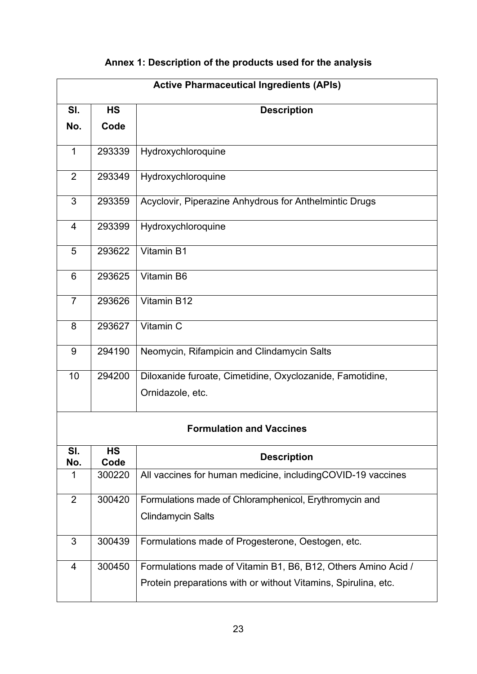# **Annex 1: Description of the products used for the analysis**

| <b>Active Pharmaceutical Ingredients (APIs)</b> |           |                                                                |  |  |  |
|-------------------------------------------------|-----------|----------------------------------------------------------------|--|--|--|
| SI.                                             | <b>HS</b> | <b>Description</b>                                             |  |  |  |
| No.                                             | Code      |                                                                |  |  |  |
| $\mathbf{1}$                                    | 293339    | Hydroxychloroquine                                             |  |  |  |
|                                                 |           |                                                                |  |  |  |
| $\overline{2}$                                  | 293349    | Hydroxychloroquine                                             |  |  |  |
| 3                                               | 293359    | Acyclovir, Piperazine Anhydrous for Anthelmintic Drugs         |  |  |  |
| 4                                               | 293399    | Hydroxychloroquine                                             |  |  |  |
| 5                                               | 293622    | Vitamin B1                                                     |  |  |  |
| 6                                               | 293625    | Vitamin B6                                                     |  |  |  |
| $\overline{7}$                                  | 293626    | Vitamin B12                                                    |  |  |  |
| 8                                               | 293627    | Vitamin C                                                      |  |  |  |
| 9                                               | 294190    | Neomycin, Rifampicin and Clindamycin Salts                     |  |  |  |
| 10                                              | 294200    | Diloxanide furoate, Cimetidine, Oxyclozanide, Famotidine,      |  |  |  |
|                                                 |           | Ornidazole, etc.                                               |  |  |  |
| <b>Formulation and Vaccines</b>                 |           |                                                                |  |  |  |
| SI.                                             | <b>HS</b> | <b>Description</b>                                             |  |  |  |
| No.                                             | Code      |                                                                |  |  |  |
| 1                                               | 300220    | All vaccines for human medicine, includingCOVID-19 vaccines    |  |  |  |
| $\overline{2}$                                  | 300420    | Formulations made of Chloramphenicol, Erythromycin and         |  |  |  |
|                                                 |           | <b>Clindamycin Salts</b>                                       |  |  |  |
| 3                                               | 300439    | Formulations made of Progesterone, Oestogen, etc.              |  |  |  |
| 4                                               | 300450    | Formulations made of Vitamin B1, B6, B12, Others Amino Acid /  |  |  |  |
|                                                 |           | Protein preparations with or without Vitamins, Spirulina, etc. |  |  |  |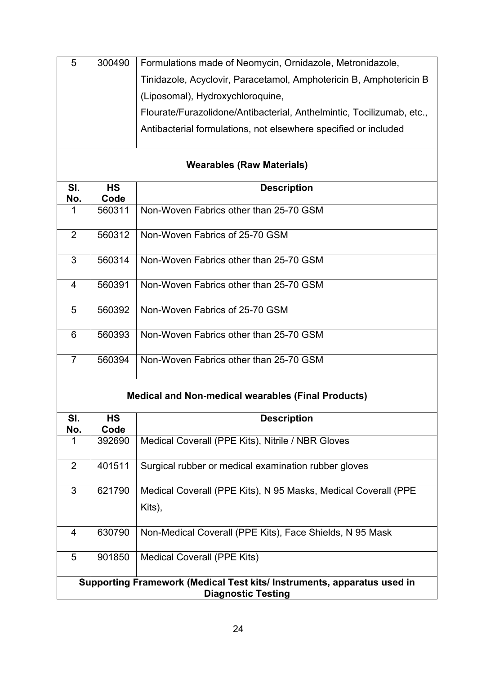| 5                                                                       | 300490         | Formulations made of Neomycin, Ornidazole, Metronidazole,             |  |  |  |
|-------------------------------------------------------------------------|----------------|-----------------------------------------------------------------------|--|--|--|
|                                                                         |                | Tinidazole, Acyclovir, Paracetamol, Amphotericin B, Amphotericin B    |  |  |  |
|                                                                         |                | (Liposomal), Hydroxychloroquine,                                      |  |  |  |
|                                                                         |                | Flourate/Furazolidone/Antibacterial, Anthelmintic, Tocilizumab, etc., |  |  |  |
|                                                                         |                | Antibacterial formulations, not elsewhere specified or included       |  |  |  |
|                                                                         |                |                                                                       |  |  |  |
| <b>Wearables (Raw Materials)</b>                                        |                |                                                                       |  |  |  |
| SI.                                                                     | <b>HS</b>      | <b>Description</b>                                                    |  |  |  |
| No.<br>$\mathbf 1$                                                      | Code<br>560311 | Non-Woven Fabrics other than 25-70 GSM                                |  |  |  |
|                                                                         |                |                                                                       |  |  |  |
| 2                                                                       | 560312         | Non-Woven Fabrics of 25-70 GSM                                        |  |  |  |
|                                                                         |                |                                                                       |  |  |  |
| 3                                                                       | 560314         | Non-Woven Fabrics other than 25-70 GSM                                |  |  |  |
| $\overline{4}$                                                          | 560391         | Non-Woven Fabrics other than 25-70 GSM                                |  |  |  |
|                                                                         |                |                                                                       |  |  |  |
| 5                                                                       | 560392         | Non-Woven Fabrics of 25-70 GSM                                        |  |  |  |
| 6                                                                       | 560393         | Non-Woven Fabrics other than 25-70 GSM                                |  |  |  |
|                                                                         |                |                                                                       |  |  |  |
| $\overline{7}$                                                          | 560394         | Non-Woven Fabrics other than 25-70 GSM                                |  |  |  |
| <b>Medical and Non-medical wearables (Final Products)</b>               |                |                                                                       |  |  |  |
| SI.                                                                     | <b>HS</b>      | <b>Description</b>                                                    |  |  |  |
| No.                                                                     | Code           |                                                                       |  |  |  |
| 1                                                                       | 392690         | Medical Coverall (PPE Kits), Nitrile / NBR Gloves                     |  |  |  |
| $\overline{2}$                                                          | 401511         | Surgical rubber or medical examination rubber gloves                  |  |  |  |
| 3                                                                       | 621790         | Medical Coverall (PPE Kits), N 95 Masks, Medical Coverall (PPE        |  |  |  |
|                                                                         |                | Kits),                                                                |  |  |  |
| 4                                                                       | 630790         | Non-Medical Coverall (PPE Kits), Face Shields, N 95 Mask              |  |  |  |
| 5                                                                       | 901850         | Medical Coverall (PPE Kits)                                           |  |  |  |
| Supporting Framework (Medical Test kits/ Instruments, apparatus used in |                |                                                                       |  |  |  |
| <b>Diagnostic Testing</b>                                               |                |                                                                       |  |  |  |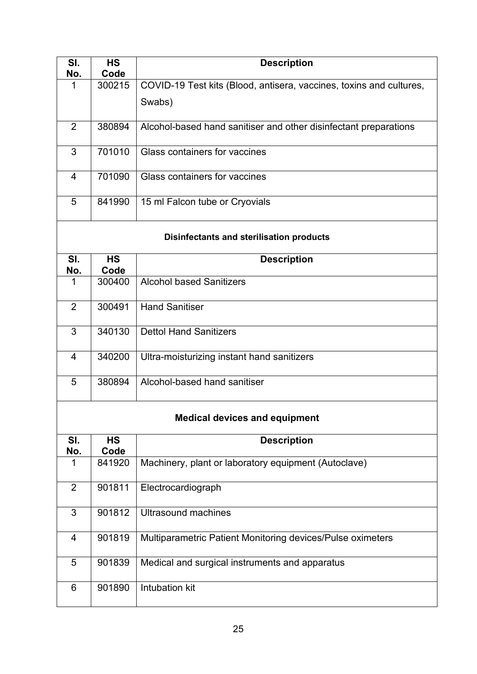| SI.<br>No.                                      | <b>HS</b><br>Code | <b>Description</b>                                                  |  |  |
|-------------------------------------------------|-------------------|---------------------------------------------------------------------|--|--|
| 1                                               | 300215            | COVID-19 Test kits (Blood, antisera, vaccines, toxins and cultures, |  |  |
|                                                 |                   | Swabs)                                                              |  |  |
| $\overline{2}$                                  | 380894            | Alcohol-based hand sanitiser and other disinfectant preparations    |  |  |
| 3                                               | 701010            | Glass containers for vaccines                                       |  |  |
| $\overline{4}$                                  | 701090            | Glass containers for vaccines                                       |  |  |
| 5                                               | 841990            | 15 ml Falcon tube or Cryovials                                      |  |  |
| <b>Disinfectants and sterilisation products</b> |                   |                                                                     |  |  |
| SI.<br>No.                                      | <b>HS</b><br>Code | <b>Description</b>                                                  |  |  |
| 1                                               | 300400            | <b>Alcohol based Sanitizers</b>                                     |  |  |
| $\overline{2}$                                  | 300491            | <b>Hand Sanitiser</b>                                               |  |  |
| 3                                               | 340130            | <b>Dettol Hand Sanitizers</b>                                       |  |  |
| 4                                               | 340200            | Ultra-moisturizing instant hand sanitizers                          |  |  |
| 5                                               | 380894            | Alcohol-based hand sanitiser                                        |  |  |
| <b>Medical devices and equipment</b>            |                   |                                                                     |  |  |
| SI.<br>No.                                      | <b>HS</b><br>Code | <b>Description</b>                                                  |  |  |
| 1                                               | 841920            | Machinery, plant or laboratory equipment (Autoclave)                |  |  |
| $\overline{2}$                                  | 901811            | Electrocardiograph                                                  |  |  |
| 3                                               | 901812            | <b>Ultrasound machines</b>                                          |  |  |
| 4                                               | 901819            | Multiparametric Patient Monitoring devices/Pulse oximeters          |  |  |
| 5                                               | 901839            | Medical and surgical instruments and apparatus                      |  |  |
| 6                                               | 901890            | <b>Intubation kit</b>                                               |  |  |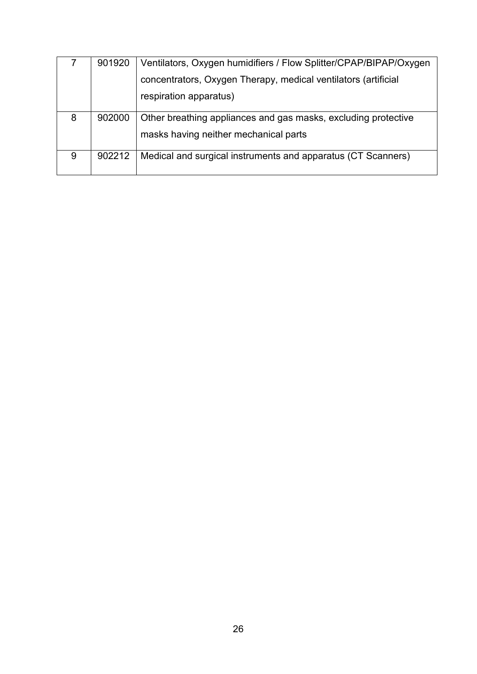|   | 901920 | Ventilators, Oxygen humidifiers / Flow Splitter/CPAP/BIPAP/Oxygen |
|---|--------|-------------------------------------------------------------------|
|   |        | concentrators, Oxygen Therapy, medical ventilators (artificial    |
|   |        | respiration apparatus)                                            |
| 8 | 902000 | Other breathing appliances and gas masks, excluding protective    |
|   |        | masks having neither mechanical parts                             |
| 9 | 902212 | Medical and surgical instruments and apparatus (CT Scanners)      |